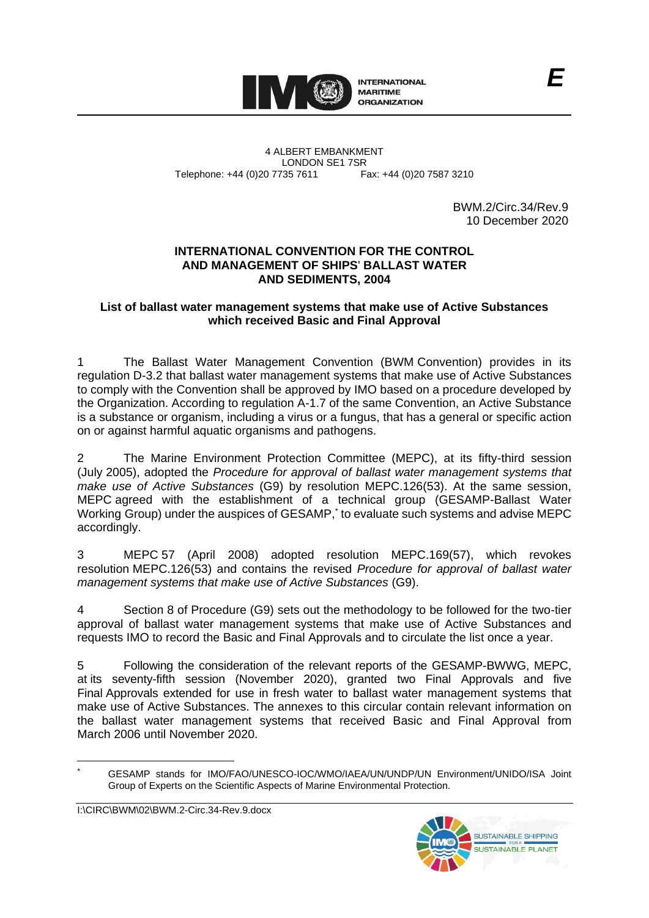

4 ALBERT EMBANKMENT Telephone: +44 (0)20 7735 7611

LONDON SE1 7SR<br>735 7611 Fax: +44 (0)20 7587 3210

BWM.2/Circ.34/Rev.9 10 December 2020

#### **INTERNATIONAL CONVENTION FOR THE CONTROL AND MANAGEMENT OF SHIPS**' **BALLAST WATER AND SEDIMENTS, 2004**

#### **List of ballast water management systems that make use of Active Substances which received Basic and Final Approval**

1 The Ballast Water Management Convention (BWM Convention) provides in its regulation D-3.2 that ballast water management systems that make use of Active Substances to comply with the Convention shall be approved by IMO based on a procedure developed by the Organization. According to regulation A-1.7 of the same Convention, an Active Substance is a substance or organism, including a virus or a fungus, that has a general or specific action on or against harmful aquatic organisms and pathogens.

2 The Marine Environment Protection Committee (MEPC), at its fifty-third session (July 2005), adopted the *Procedure for approval of ballast water management systems that make use of Active Substances* (G9) by resolution MEPC.126(53). At the same session, MEPC agreed with the establishment of a technical group (GESAMP-Ballast Water Working Group) under the auspices of GESAMP, \* to evaluate such systems and advise MEPC accordingly.

3 MEPC 57 (April 2008) adopted resolution MEPC.169(57), which revokes resolution MEPC.126(53) and contains the revised *Procedure for approval of ballast water management systems that make use of Active Substances* (G9).

4 Section 8 of Procedure (G9) sets out the methodology to be followed for the two-tier approval of ballast water management systems that make use of Active Substances and requests IMO to record the Basic and Final Approvals and to circulate the list once a year.

5 Following the consideration of the relevant reports of the GESAMP-BWWG, MEPC, at its seventy-fifth session (November 2020), granted two Final Approvals and five Final Approvals extended for use in fresh water to ballast water management systems that make use of Active Substances. The annexes to this circular contain relevant information on the ballast water management systems that received Basic and Final Approval from March 2006 until November 2020.



<sup>\*</sup> GESAMP stands for IMO/FAO/UNESCO-IOC/WMO/IAEA/UN/UNDP/UN Environment/UNIDO/ISA Joint Group of Experts on the Scientific Aspects of Marine Environmental Protection.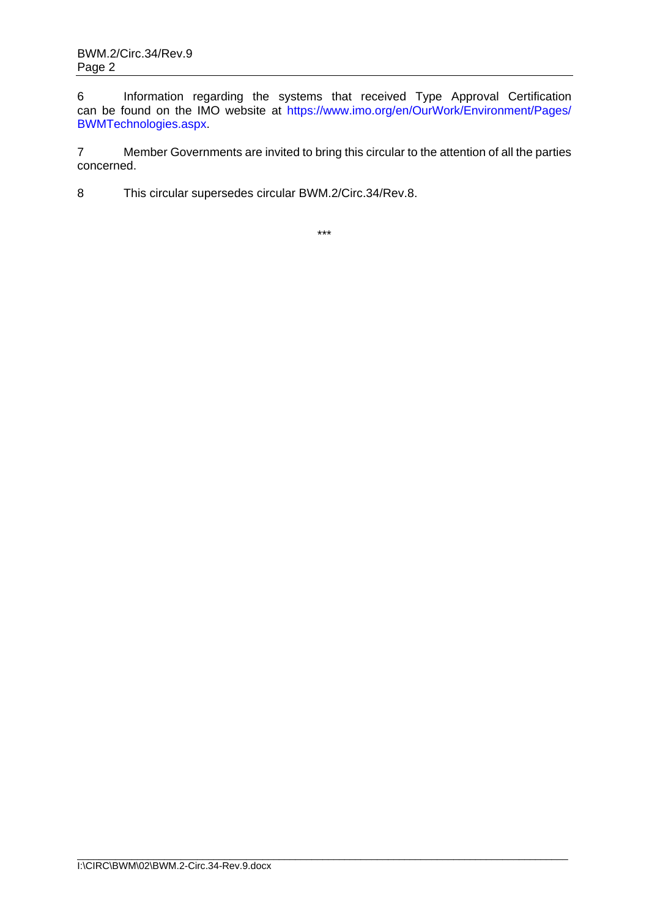6 Information regarding the systems that received Type Approval Certification can be found on the IMO website at [https://www.imo.org/en/OurWork/Environment/Pages/](https://www.imo.org/en/OurWork/Environment/Pages/BWMTechnologies.aspx) [BWMTechnologies.aspx.](https://www.imo.org/en/OurWork/Environment/Pages/BWMTechnologies.aspx)

7 Member Governments are invited to bring this circular to the attention of all the parties concerned.

8 This circular supersedes circular BWM.2/Circ.34/Rev.8.

\*\*\*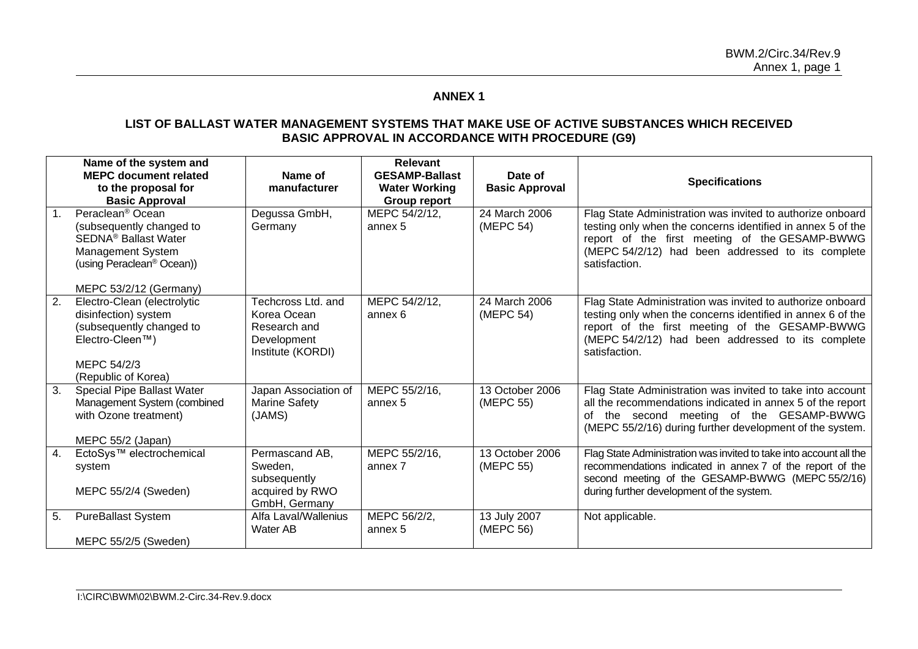# **ANNEX 1**

#### **LIST OF BALLAST WATER MANAGEMENT SYSTEMS THAT MAKE USE OF ACTIVE SUBSTANCES WHICH RECEIVED BASIC APPROVAL IN ACCORDANCE WITH PROCEDURE (G9)**

|                  | Name of the system and<br><b>MEPC document related</b><br>to the proposal for<br><b>Basic Approval</b>                                                                                      | Name of<br>manufacturer                                                               | <b>Relevant</b><br><b>GESAMP-Ballast</b><br><b>Water Working</b><br><b>Group report</b> | Date of<br><b>Basic Approval</b> | <b>Specifications</b>                                                                                                                                                                                                                             |
|------------------|---------------------------------------------------------------------------------------------------------------------------------------------------------------------------------------------|---------------------------------------------------------------------------------------|-----------------------------------------------------------------------------------------|----------------------------------|---------------------------------------------------------------------------------------------------------------------------------------------------------------------------------------------------------------------------------------------------|
| 1 <sub>1</sub>   | Peraclean <sup>®</sup> Ocean<br>(subsequently changed to<br>SEDNA <sup>®</sup> Ballast Water<br><b>Management System</b><br>(using Peraclean <sup>®</sup> Ocean))<br>MEPC 53/2/12 (Germany) | Degussa GmbH,<br>Germany                                                              | MEPC 54/2/12,<br>annex 5                                                                | 24 March 2006<br>(MEPC 54)       | Flag State Administration was invited to authorize onboard<br>testing only when the concerns identified in annex 5 of the<br>report of the first meeting of the GESAMP-BWWG<br>(MEPC 54/2/12) had been addressed to its complete<br>satisfaction. |
| $\overline{2}$ . | Electro-Clean (electrolytic<br>disinfection) system<br>(subsequently changed to<br>Electro-Cleen™)<br>MEPC 54/2/3<br>(Republic of Korea)                                                    | Techcross Ltd. and<br>Korea Ocean<br>Research and<br>Development<br>Institute (KORDI) | MEPC 54/2/12,<br>annex 6                                                                | 24 March 2006<br>(MEPC 54)       | Flag State Administration was invited to authorize onboard<br>testing only when the concerns identified in annex 6 of the<br>report of the first meeting of the GESAMP-BWWG<br>(MEPC 54/2/12) had been addressed to its complete<br>satisfaction. |
| 3.               | Special Pipe Ballast Water<br>Management System (combined<br>with Ozone treatment)<br>MEPC 55/2 (Japan)                                                                                     | Japan Association of<br><b>Marine Safety</b><br>(JAMS)                                | MEPC 55/2/16,<br>annex 5                                                                | 13 October 2006<br>(MEPC 55)     | Flag State Administration was invited to take into account<br>all the recommendations indicated in annex 5 of the report<br>of the second meeting of the GESAMP-BWWG<br>(MEPC 55/2/16) during further development of the system.                  |
| 4.               | EctoSys™ electrochemical<br>system<br>MEPC 55/2/4 (Sweden)                                                                                                                                  | Permascand AB,<br>Sweden,<br>subsequently<br>acquired by RWO<br>GmbH, Germany         | MEPC 55/2/16,<br>annex 7                                                                | 13 October 2006<br>(MEPC 55)     | Flag State Administration was invited to take into account all the<br>recommendations indicated in annex 7 of the report of the<br>second meeting of the GESAMP-BWWG (MEPC 55/2/16)<br>during further development of the system.                  |
| 5.               | <b>PureBallast System</b><br>MEPC 55/2/5 (Sweden)                                                                                                                                           | Alfa Laval/Wallenius<br>Water AB                                                      | MEPC 56/2/2,<br>annex 5                                                                 | 13 July 2007<br>(MEPC 56)        | Not applicable.                                                                                                                                                                                                                                   |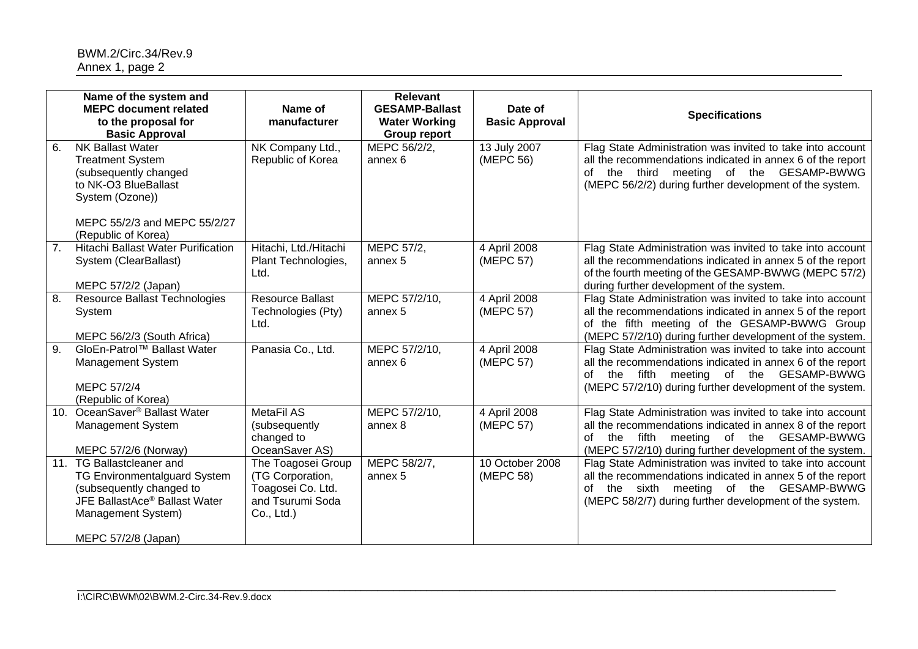|                 | Name of the system and<br><b>MEPC document related</b><br>to the proposal for<br><b>Basic Approval</b>                                                                                 | Name of<br>manufacturer                                                                       | <b>Relevant</b><br><b>GESAMP-Ballast</b><br><b>Water Working</b><br><b>Group report</b> | Date of<br><b>Basic Approval</b> | <b>Specifications</b>                                                                                                                                                                                                                 |
|-----------------|----------------------------------------------------------------------------------------------------------------------------------------------------------------------------------------|-----------------------------------------------------------------------------------------------|-----------------------------------------------------------------------------------------|----------------------------------|---------------------------------------------------------------------------------------------------------------------------------------------------------------------------------------------------------------------------------------|
| 6.              | <b>NK Ballast Water</b><br><b>Treatment System</b><br>(subsequently changed<br>to NK-O3 BlueBallast<br>System (Ozone))<br>MEPC 55/2/3 and MEPC 55/2/27<br>(Republic of Korea)          | NK Company Ltd.,<br>Republic of Korea                                                         | MEPC 56/2/2,<br>annex 6                                                                 | 13 July 2007<br>(MEPC 56)        | Flag State Administration was invited to take into account<br>all the recommendations indicated in annex 6 of the report<br>of the third meeting of the GESAMP-BWWG<br>(MEPC 56/2/2) during further development of the system.        |
| 7 <sub>1</sub>  | Hitachi Ballast Water Purification<br>System (ClearBallast)<br>MEPC 57/2/2 (Japan)                                                                                                     | Hitachi, Ltd./Hitachi<br>Plant Technologies,<br>Ltd.                                          | MEPC 57/2,<br>annex 5                                                                   | 4 April 2008<br>(MEPC 57)        | Flag State Administration was invited to take into account<br>all the recommendations indicated in annex 5 of the report<br>of the fourth meeting of the GESAMP-BWWG (MEPC 57/2)<br>during further development of the system.         |
| 8.              | <b>Resource Ballast Technologies</b><br>System<br>MEPC 56/2/3 (South Africa)                                                                                                           | <b>Resource Ballast</b><br>Technologies (Pty)<br>Ltd.                                         | MEPC 57/2/10,<br>annex 5                                                                | 4 April 2008<br>(MEPC 57)        | Flag State Administration was invited to take into account<br>all the recommendations indicated in annex 5 of the report<br>of the fifth meeting of the GESAMP-BWWG Group<br>(MEPC 57/2/10) during further development of the system. |
| 9.              | GloEn-Patrol™ Ballast Water<br><b>Management System</b><br>MEPC 57/2/4<br>(Republic of Korea)                                                                                          | Panasia Co., Ltd.                                                                             | MEPC 57/2/10,<br>annex 6                                                                | 4 April 2008<br>(MEPC 57)        | Flag State Administration was invited to take into account<br>all the recommendations indicated in annex 6 of the report<br>of the fifth meeting of the GESAMP-BWWG<br>(MEPC 57/2/10) during further development of the system.       |
| 10 <sub>1</sub> | OceanSaver <sup>®</sup> Ballast Water<br>Management System<br>MEPC 57/2/6 (Norway)                                                                                                     | <b>MetaFil AS</b><br>(subsequently<br>changed to<br>OceanSaver AS)                            | MEPC 57/2/10,<br>annex 8                                                                | 4 April 2008<br>(MEPC 57)        | Flag State Administration was invited to take into account<br>all the recommendations indicated in annex 8 of the report<br>meeting of the GESAMP-BWWG<br>the fifth<br>of<br>(MEPC 57/2/10) during further development of the system. |
|                 | 11. TG Ballastcleaner and<br><b>TG Environmentalguard System</b><br>(subsequently changed to<br>JFE BallastAce <sup>®</sup> Ballast Water<br>Management System)<br>MEPC 57/2/8 (Japan) | The Toagosei Group<br>(TG Corporation,<br>Toagosei Co. Ltd.<br>and Tsurumi Soda<br>Co., Ltd.) | MEPC 58/2/7,<br>annex 5                                                                 | 10 October 2008<br>(MEPC 58)     | Flag State Administration was invited to take into account<br>all the recommendations indicated in annex 5 of the report<br>the sixth meeting of the GESAMP-BWWG<br>of<br>(MEPC 58/2/7) during further development of the system.     |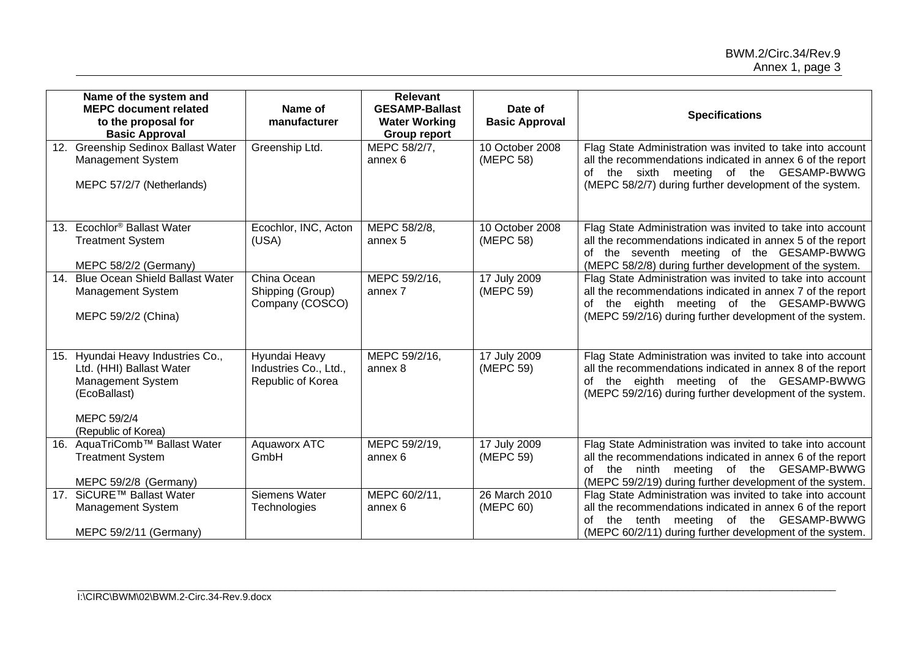|     | Name of the system and<br><b>MEPC document related</b><br>to the proposal for<br><b>Basic Approval</b>                                   | Name of<br>manufacturer                                     | <b>Relevant</b><br><b>GESAMP-Ballast</b><br><b>Water Working</b><br>Group report | Date of<br><b>Basic Approval</b> | <b>Specifications</b>                                                                                                                                                                                                                 |
|-----|------------------------------------------------------------------------------------------------------------------------------------------|-------------------------------------------------------------|----------------------------------------------------------------------------------|----------------------------------|---------------------------------------------------------------------------------------------------------------------------------------------------------------------------------------------------------------------------------------|
|     | 12. Greenship Sedinox Ballast Water<br>Management System<br>MEPC 57/2/7 (Netherlands)                                                    | Greenship Ltd.                                              | MEPC 58/2/7,<br>annex 6                                                          | 10 October 2008<br>(MEPC 58)     | Flag State Administration was invited to take into account<br>all the recommendations indicated in annex 6 of the report<br>of the sixth meeting of the GESAMP-BWWG<br>(MEPC 58/2/7) during further development of the system.        |
|     | 13. Ecochlor <sup>®</sup> Ballast Water<br><b>Treatment System</b><br>MEPC 58/2/2 (Germany)                                              | Ecochlor, INC, Acton<br>(USA)                               | MEPC 58/2/8,<br>annex 5                                                          | 10 October 2008<br>(MEPC 58)     | Flag State Administration was invited to take into account<br>all the recommendations indicated in annex 5 of the report<br>of the seventh meeting of the GESAMP-BWWG<br>(MEPC 58/2/8) during further development of the system.      |
| 14. | <b>Blue Ocean Shield Ballast Water</b><br>Management System<br>MEPC 59/2/2 (China)                                                       | China Ocean<br>Shipping (Group)<br>Company (COSCO)          | MEPC 59/2/16,<br>annex 7                                                         | 17 July 2009<br>(MEPC 59)        | Flag State Administration was invited to take into account<br>all the recommendations indicated in annex 7 of the report<br>of the eighth meeting of the GESAMP-BWWG<br>(MEPC 59/2/16) during further development of the system.      |
|     | 15. Hyundai Heavy Industries Co.,<br>Ltd. (HHI) Ballast Water<br>Management System<br>(EcoBallast)<br>MEPC 59/2/4<br>(Republic of Korea) | Hyundai Heavy<br>Industries Co., Ltd.,<br>Republic of Korea | MEPC 59/2/16,<br>annex 8                                                         | 17 July 2009<br>(MEPC 59)        | Flag State Administration was invited to take into account<br>all the recommendations indicated in annex 8 of the report<br>of the eighth meeting of the GESAMP-BWWG<br>(MEPC 59/2/16) during further development of the system.      |
| 16. | AquaTriComb™ Ballast Water<br><b>Treatment System</b><br>MEPC 59/2/8 (Germany)                                                           | Aquaworx ATC<br>GmbH                                        | MEPC 59/2/19,<br>annex 6                                                         | 17 July 2009<br>(MEPC 59)        | Flag State Administration was invited to take into account<br>all the recommendations indicated in annex 6 of the report<br>the ninth meeting of the GESAMP-BWWG<br>of<br>(MEPC 59/2/19) during further development of the system.    |
|     | 17. SiCURE™ Ballast Water<br>Management System<br>MEPC 59/2/11 (Germany)                                                                 | Siemens Water<br>Technologies                               | MEPC 60/2/11,<br>annex 6                                                         | 26 March 2010<br>(MEPC 60)       | Flag State Administration was invited to take into account<br>all the recommendations indicated in annex 6 of the report<br>tenth meeting of the GESAMP-BWWG<br>the<br>of<br>(MEPC 60/2/11) during further development of the system. |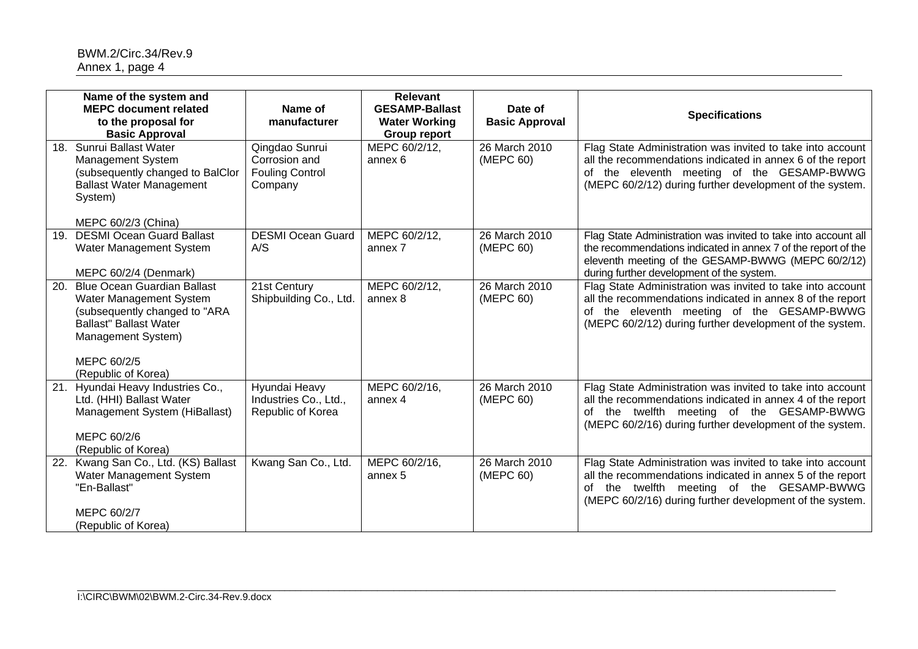|     | Name of the system and<br><b>MEPC document related</b><br>to the proposal for<br><b>Basic Approval</b>                                                               | Name of<br>manufacturer                                              | <b>Relevant</b><br><b>GESAMP-Ballast</b><br><b>Water Working</b><br><b>Group report</b> | Date of<br><b>Basic Approval</b> | <b>Specifications</b>                                                                                                                                                                                                              |
|-----|----------------------------------------------------------------------------------------------------------------------------------------------------------------------|----------------------------------------------------------------------|-----------------------------------------------------------------------------------------|----------------------------------|------------------------------------------------------------------------------------------------------------------------------------------------------------------------------------------------------------------------------------|
| 18. | Sunrui Ballast Water<br><b>Management System</b><br>(subsequently changed to BalClor<br><b>Ballast Water Management</b><br>System)<br>MEPC 60/2/3 (China)            | Qingdao Sunrui<br>Corrosion and<br><b>Fouling Control</b><br>Company | MEPC 60/2/12,<br>annex 6                                                                | 26 March 2010<br>(MEPC 60)       | Flag State Administration was invited to take into account<br>all the recommendations indicated in annex 6 of the report<br>of the eleventh meeting of the GESAMP-BWWG<br>(MEPC 60/2/12) during further development of the system. |
| 19. | <b>DESMI Ocean Guard Ballast</b><br>Water Management System<br>MEPC 60/2/4 (Denmark)                                                                                 | <b>DESMI Ocean Guard</b><br>A/S                                      | MEPC 60/2/12,<br>annex 7                                                                | 26 March 2010<br>(MEPC 60)       | Flag State Administration was invited to take into account all<br>the recommendations indicated in annex 7 of the report of the<br>eleventh meeting of the GESAMP-BWWG (MEPC 60/2/12)<br>during further development of the system. |
| 20. | <b>Blue Ocean Guardian Ballast</b><br>Water Management System<br>(subsequently changed to "ARA<br><b>Ballast" Ballast Water</b><br>Management System)<br>MEPC 60/2/5 | 21st Century<br>Shipbuilding Co., Ltd.                               | MEPC 60/2/12,<br>annex 8                                                                | 26 March 2010<br>(MEPC 60)       | Flag State Administration was invited to take into account<br>all the recommendations indicated in annex 8 of the report<br>of the eleventh meeting of the GESAMP-BWWG<br>(MEPC 60/2/12) during further development of the system. |
| 21. | (Republic of Korea)<br>Hyundai Heavy Industries Co.,<br>Ltd. (HHI) Ballast Water<br>Management System (HiBallast)<br>MEPC 60/2/6<br>(Republic of Korea)              | Hyundai Heavy<br>Industries Co., Ltd.,<br>Republic of Korea          | MEPC 60/2/16,<br>annex 4                                                                | 26 March 2010<br>(MEPC 60)       | Flag State Administration was invited to take into account<br>all the recommendations indicated in annex 4 of the report<br>of the twelfth meeting of the GESAMP-BWWG<br>(MEPC 60/2/16) during further development of the system.  |
| 22. | Kwang San Co., Ltd. (KS) Ballast<br>Water Management System<br>"En-Ballast"<br>MEPC 60/2/7<br>(Republic of Korea)                                                    | Kwang San Co., Ltd.                                                  | MEPC 60/2/16,<br>annex 5                                                                | 26 March 2010<br>(MEPC 60)       | Flag State Administration was invited to take into account<br>all the recommendations indicated in annex 5 of the report<br>of the twelfth meeting of the GESAMP-BWWG<br>(MEPC 60/2/16) during further development of the system.  |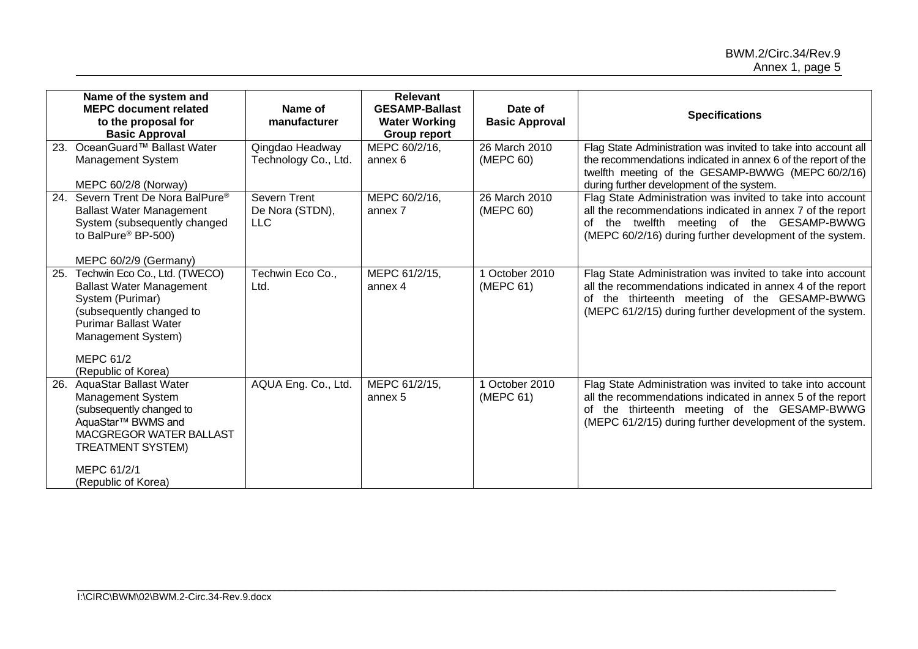|     | Name of the system and<br><b>MEPC document related</b><br>to the proposal for<br><b>Basic Approval</b>                                                                                                            | Name of<br>manufacturer                              | <b>Relevant</b><br><b>GESAMP-Ballast</b><br><b>Water Working</b><br><b>Group report</b> | Date of<br><b>Basic Approval</b> | <b>Specifications</b>                                                                                                                                                                                                                |
|-----|-------------------------------------------------------------------------------------------------------------------------------------------------------------------------------------------------------------------|------------------------------------------------------|-----------------------------------------------------------------------------------------|----------------------------------|--------------------------------------------------------------------------------------------------------------------------------------------------------------------------------------------------------------------------------------|
| 23. | OceanGuard™ Ballast Water<br><b>Management System</b><br>MEPC 60/2/8 (Norway)                                                                                                                                     | Qingdao Headway<br>Technology Co., Ltd.              | MEPC 60/2/16,<br>annex 6                                                                | 26 March 2010<br>(MEPC 60)       | Flag State Administration was invited to take into account all<br>the recommendations indicated in annex 6 of the report of the<br>twelfth meeting of the GESAMP-BWWG (MEPC 60/2/16)<br>during further development of the system.    |
| 24. | Severn Trent De Nora BalPure <sup>®</sup><br><b>Ballast Water Management</b><br>System (subsequently changed<br>to BalPure <sup>®</sup> BP-500)<br>MEPC 60/2/9 (Germany)                                          | <b>Severn Trent</b><br>De Nora (STDN),<br><b>LLC</b> | MEPC 60/2/16,<br>annex 7                                                                | 26 March 2010<br>(MEPC 60)       | Flag State Administration was invited to take into account<br>all the recommendations indicated in annex 7 of the report<br>of the twelfth meeting of the GESAMP-BWWG<br>(MEPC 60/2/16) during further development of the system.    |
| 25. | Techwin Eco Co., Ltd. (TWECO)<br><b>Ballast Water Management</b><br>System (Purimar)<br>(subsequently changed to<br><b>Purimar Ballast Water</b><br>Management System)<br><b>MEPC 61/2</b><br>(Republic of Korea) | Techwin Eco Co.,<br>Ltd.                             | MEPC 61/2/15,<br>annex 4                                                                | 1 October 2010<br>(MEPC 61)      | Flag State Administration was invited to take into account<br>all the recommendations indicated in annex 4 of the report<br>of the thirteenth meeting of the GESAMP-BWWG<br>(MEPC 61/2/15) during further development of the system. |
| 26. | <b>AquaStar Ballast Water</b><br>Management System<br>(subsequently changed to<br>AquaStar <sup>™</sup> BWMS and<br>MACGREGOR WATER BALLAST<br><b>TREATMENT SYSTEM)</b><br>MEPC 61/2/1<br>(Republic of Korea)     | AQUA Eng. Co., Ltd.                                  | MEPC 61/2/15,<br>annex 5                                                                | 1 October 2010<br>(MEPC 61)      | Flag State Administration was invited to take into account<br>all the recommendations indicated in annex 5 of the report<br>of the thirteenth meeting of the GESAMP-BWWG<br>(MEPC 61/2/15) during further development of the system. |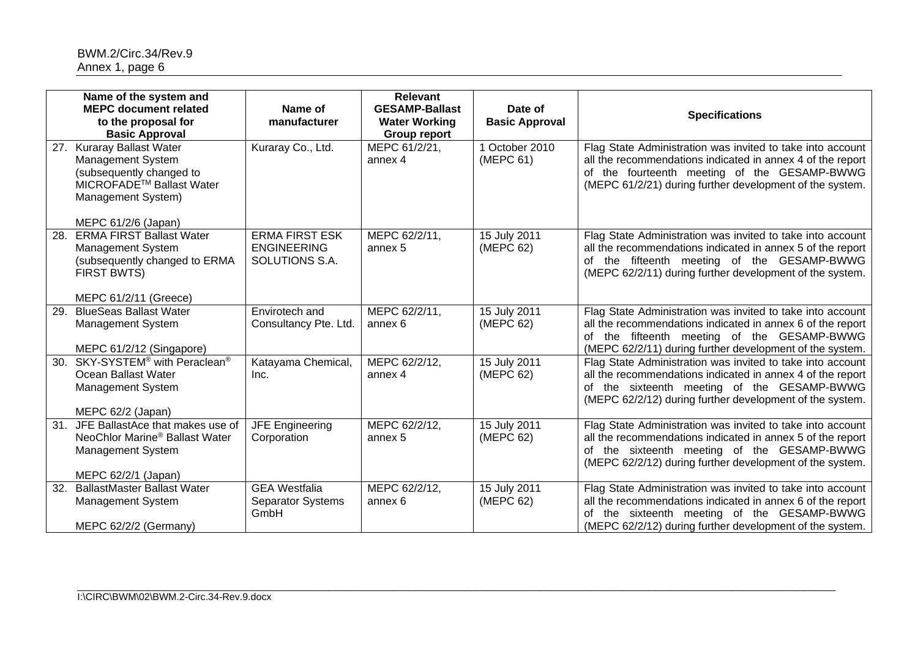|     | Name of the system and<br><b>MEPC document related</b><br>to the proposal for<br><b>Basic Approval</b>                                                             | Name of<br>manufacturer                                       | <b>Relevant</b><br><b>GESAMP-Ballast</b><br><b>Water Working</b><br><b>Group report</b> | Date of<br><b>Basic Approval</b> | <b>Specifications</b>                                                                                                                                                                                                                |
|-----|--------------------------------------------------------------------------------------------------------------------------------------------------------------------|---------------------------------------------------------------|-----------------------------------------------------------------------------------------|----------------------------------|--------------------------------------------------------------------------------------------------------------------------------------------------------------------------------------------------------------------------------------|
| 27. | <b>Kuraray Ballast Water</b><br>Management System<br>(subsequently changed to<br>MICROFADE <sup>™</sup> Ballast Water<br>Management System)<br>MEPC 61/2/6 (Japan) | Kuraray Co., Ltd.                                             | MEPC 61/2/21,<br>annex 4                                                                | 1 October 2010<br>(MEPC 61)      | Flag State Administration was invited to take into account<br>all the recommendations indicated in annex 4 of the report<br>of the fourteenth meeting of the GESAMP-BWWG<br>(MEPC 61/2/21) during further development of the system. |
| 28. | <b>ERMA FIRST Ballast Water</b><br><b>Management System</b><br>(subsequently changed to ERMA<br><b>FIRST BWTS)</b><br>MEPC 61/2/11 (Greece)                        | <b>ERMA FIRST ESK</b><br><b>ENGINEERING</b><br>SOLUTIONS S.A. | MEPC 62/2/11,<br>annex 5                                                                | 15 July 2011<br>(MEPC 62)        | Flag State Administration was invited to take into account<br>all the recommendations indicated in annex 5 of the report<br>of the fifteenth meeting of the GESAMP-BWWG<br>(MEPC 62/2/11) during further development of the system.  |
| 29. | <b>BlueSeas Ballast Water</b><br><b>Management System</b><br>MEPC 61/2/12 (Singapore)                                                                              | Envirotech and<br>Consultancy Pte. Ltd.                       | MEPC 62/2/11,<br>annex 6                                                                | 15 July 2011<br>(MEPC 62)        | Flag State Administration was invited to take into account<br>all the recommendations indicated in annex 6 of the report<br>of the fifteenth meeting of the GESAMP-BWWG<br>(MEPC 62/2/11) during further development of the system.  |
| 30. | SKY-SYSTEM <sup>®</sup> with Peraclean <sup>®</sup><br>Ocean Ballast Water<br><b>Management System</b><br>MEPC 62/2 (Japan)                                        | Katayama Chemical,<br>Inc.                                    | MEPC 62/2/12,<br>annex 4                                                                | 15 July 2011<br>(MEPC 62)        | Flag State Administration was invited to take into account<br>all the recommendations indicated in annex 4 of the report<br>of the sixteenth meeting of the GESAMP-BWWG<br>(MEPC 62/2/12) during further development of the system.  |
| 31. | JFE BallastAce that makes use of<br>NeoChlor Marine <sup>®</sup> Ballast Water<br><b>Management System</b><br>MEPC 62/2/1 (Japan)                                  | <b>JFE Engineering</b><br>Corporation                         | MEPC 62/2/12,<br>annex 5                                                                | 15 July 2011<br>(MEPC 62)        | Flag State Administration was invited to take into account<br>all the recommendations indicated in annex 5 of the report<br>of the sixteenth meeting of the GESAMP-BWWG<br>(MEPC 62/2/12) during further development of the system.  |
| 32. | <b>BallastMaster Ballast Water</b><br>Management System<br>MEPC 62/2/2 (Germany)                                                                                   | <b>GEA Westfalia</b><br><b>Separator Systems</b><br>GmbH      | MEPC 62/2/12,<br>annex <sub>6</sub>                                                     | 15 July 2011<br>(MEPC 62)        | Flag State Administration was invited to take into account<br>all the recommendations indicated in annex 6 of the report<br>of the sixteenth meeting of the GESAMP-BWWG<br>(MEPC 62/2/12) during further development of the system.  |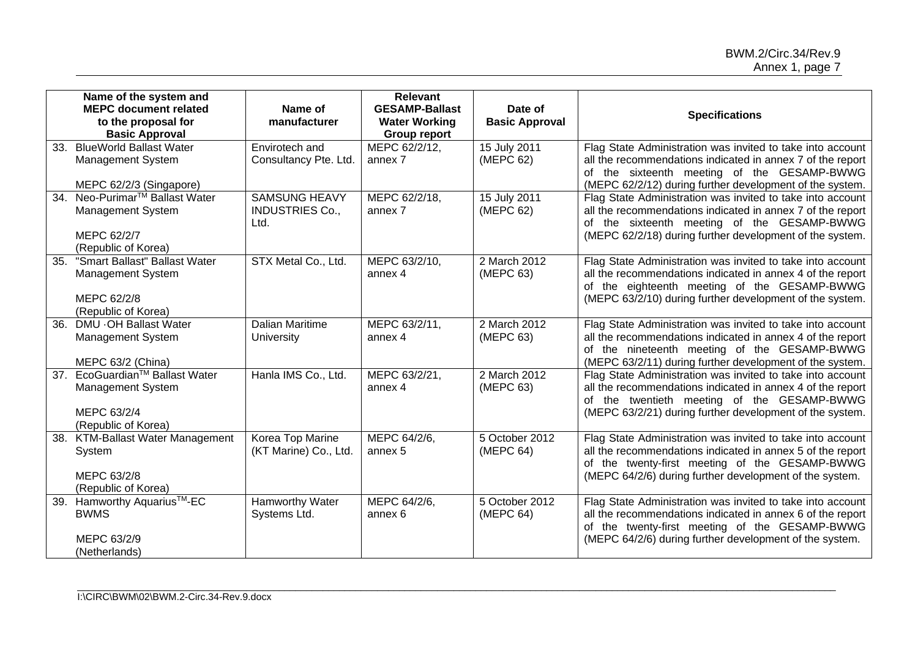|                   | Name of the system and<br><b>MEPC document related</b><br>to the proposal for<br><b>Basic Approval</b> | Name of<br>manufacturer                                | <b>Relevant</b><br><b>GESAMP-Ballast</b><br><b>Water Working</b><br><b>Group report</b> | Date of<br><b>Basic Approval</b> | <b>Specifications</b>                                                                                                                                                                                                                 |
|-------------------|--------------------------------------------------------------------------------------------------------|--------------------------------------------------------|-----------------------------------------------------------------------------------------|----------------------------------|---------------------------------------------------------------------------------------------------------------------------------------------------------------------------------------------------------------------------------------|
| 33.               | <b>BlueWorld Ballast Water</b><br><b>Management System</b><br>MEPC 62/2/3 (Singapore)                  | Envirotech and<br>Consultancy Pte. Ltd.                | MEPC 62/2/12,<br>annex 7                                                                | 15 July 2011<br>(MEPC 62)        | Flag State Administration was invited to take into account<br>all the recommendations indicated in annex 7 of the report<br>of the sixteenth meeting of the GESAMP-BWWG<br>(MEPC 62/2/12) during further development of the system.   |
| $\overline{34}$ . | Neo-Purimar <sup>™</sup> Ballast Water<br>Management System<br>MEPC 62/2/7<br>(Republic of Korea)      | <b>SAMSUNG HEAVY</b><br><b>INDUSTRIES Co.,</b><br>Ltd. | MEPC 62/2/18,<br>annex 7                                                                | 15 July 2011<br>(MEPC 62)        | Flag State Administration was invited to take into account<br>all the recommendations indicated in annex 7 of the report<br>of the sixteenth meeting of the GESAMP-BWWG<br>(MEPC 62/2/18) during further development of the system.   |
| 35.               | "Smart Ballast" Ballast Water<br><b>Management System</b><br>MEPC 62/2/8<br>(Republic of Korea)        | STX Metal Co., Ltd.                                    | MEPC 63/2/10,<br>annex 4                                                                | 2 March 2012<br>(MEPC 63)        | Flag State Administration was invited to take into account<br>all the recommendations indicated in annex 4 of the report<br>of the eighteenth meeting of the GESAMP-BWWG<br>(MEPC 63/2/10) during further development of the system.  |
| $\overline{36}$ . | DMU . OH Ballast Water<br><b>Management System</b><br>MEPC 63/2 (China)                                | <b>Dalian Maritime</b><br>University                   | MEPC 63/2/11,<br>annex 4                                                                | 2 March 2012<br>(MEPC 63)        | Flag State Administration was invited to take into account<br>all the recommendations indicated in annex 4 of the report<br>of the nineteenth meeting of the GESAMP-BWWG<br>(MEPC 63/2/11) during further development of the system.  |
|                   | 37. EcoGuardian™ Ballast Water<br><b>Management System</b><br>MEPC 63/2/4<br>(Republic of Korea)       | Hanla IMS Co., Ltd.                                    | MEPC 63/2/21,<br>annex 4                                                                | 2 March 2012<br>(MEPC 63)        | Flag State Administration was invited to take into account<br>all the recommendations indicated in annex 4 of the report<br>of the twentieth meeting of the GESAMP-BWWG<br>(MEPC 63/2/21) during further development of the system.   |
|                   | 38. KTM-Ballast Water Management<br>System<br>MEPC 63/2/8<br>(Republic of Korea)                       | Korea Top Marine<br>(KT Marine) Co., Ltd.              | MEPC 64/2/6,<br>annex 5                                                                 | 5 October 2012<br>(MEPC 64)      | Flag State Administration was invited to take into account<br>all the recommendations indicated in annex 5 of the report<br>of the twenty-first meeting of the GESAMP-BWWG<br>(MEPC 64/2/6) during further development of the system. |
|                   | 39. Hamworthy Aquarius™-EC<br><b>BWMS</b><br>MEPC 63/2/9<br>(Netherlands)                              | Hamworthy Water<br>Systems Ltd.                        | MEPC 64/2/6,<br>annex 6                                                                 | 5 October 2012<br>(MEPC 64)      | Flag State Administration was invited to take into account<br>all the recommendations indicated in annex 6 of the report<br>of the twenty-first meeting of the GESAMP-BWWG<br>(MEPC 64/2/6) during further development of the system. |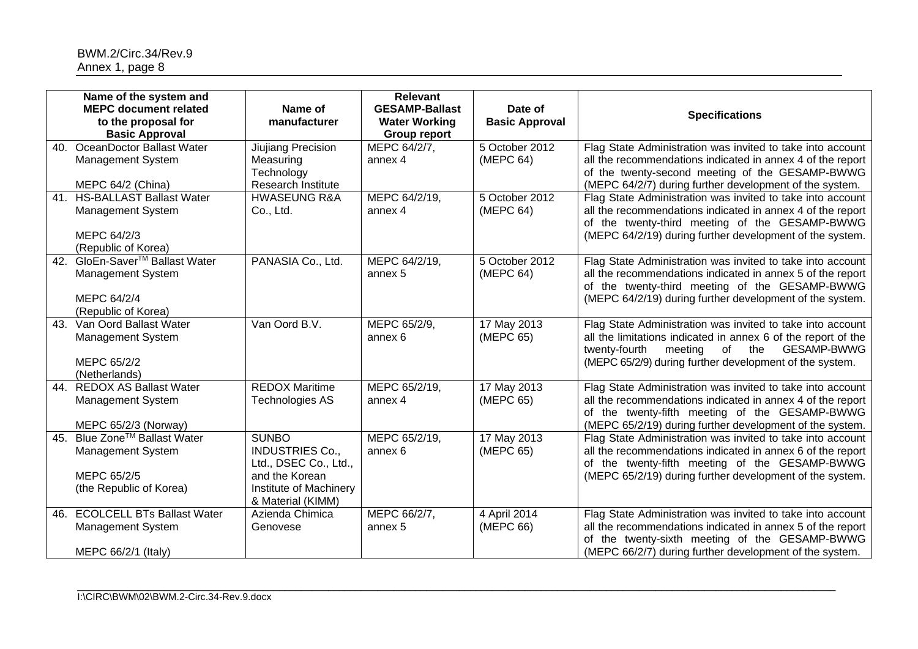|     | Name of the system and<br><b>MEPC document related</b><br>to the proposal for<br><b>Basic Approval</b>   | Name of<br>manufacturer                                                                                                          | <b>Relevant</b><br><b>GESAMP-Ballast</b><br><b>Water Working</b><br><b>Group report</b> | Date of<br><b>Basic Approval</b> | <b>Specifications</b>                                                                                                                                                                                                                           |
|-----|----------------------------------------------------------------------------------------------------------|----------------------------------------------------------------------------------------------------------------------------------|-----------------------------------------------------------------------------------------|----------------------------------|-------------------------------------------------------------------------------------------------------------------------------------------------------------------------------------------------------------------------------------------------|
| 40. | OceanDoctor Ballast Water<br>Management System<br>MEPC 64/2 (China)                                      | Jiujiang Precision<br>Measuring<br>Technology<br>Research Institute                                                              | MEPC 64/2/7,<br>annex 4                                                                 | 5 October 2012<br>(MEPC 64)      | Flag State Administration was invited to take into account<br>all the recommendations indicated in annex 4 of the report<br>of the twenty-second meeting of the GESAMP-BWWG<br>(MEPC 64/2/7) during further development of the system.          |
| 41. | <b>HS-BALLAST Ballast Water</b><br>Management System<br>MEPC 64/2/3<br>(Republic of Korea)               | <b>HWASEUNG R&amp;A</b><br>Co., Ltd.                                                                                             | MEPC 64/2/19,<br>annex 4                                                                | 5 October 2012<br>(MEPC 64)      | Flag State Administration was invited to take into account<br>all the recommendations indicated in annex 4 of the report<br>of the twenty-third meeting of the GESAMP-BWWG<br>(MEPC 64/2/19) during further development of the system.          |
| 42. | GloEn-Saver <sup>™</sup> Ballast Water<br><b>Management System</b><br>MEPC 64/2/4<br>(Republic of Korea) | PANASIA Co., Ltd.                                                                                                                | MEPC 64/2/19,<br>annex 5                                                                | 5 October 2012<br>(MEPC 64)      | Flag State Administration was invited to take into account<br>all the recommendations indicated in annex 5 of the report<br>of the twenty-third meeting of the GESAMP-BWWG<br>(MEPC 64/2/19) during further development of the system.          |
| 43. | Van Oord Ballast Water<br>Management System<br>MEPC 65/2/2<br>(Netherlands)                              | Van Oord B.V.                                                                                                                    | MEPC 65/2/9,<br>annex 6                                                                 | 17 May 2013<br>(MEPC 65)         | Flag State Administration was invited to take into account<br>all the limitations indicated in annex 6 of the report of the<br>twenty-fourth<br>meeting of the<br><b>GESAMP-BWWG</b><br>(MEPC 65/2/9) during further development of the system. |
| 44. | <b>REDOX AS Ballast Water</b><br>Management System<br>MEPC 65/2/3 (Norway)                               | <b>REDOX Maritime</b><br><b>Technologies AS</b>                                                                                  | MEPC 65/2/19,<br>annex 4                                                                | 17 May 2013<br>(MEPC 65)         | Flag State Administration was invited to take into account<br>all the recommendations indicated in annex 4 of the report<br>of the twenty-fifth meeting of the GESAMP-BWWG<br>(MEPC 65/2/19) during further development of the system.          |
| 45. | Blue Zone™ Ballast Water<br><b>Management System</b><br>MEPC 65/2/5<br>(the Republic of Korea)           | <b>SUNBO</b><br><b>INDUSTRIES Co.,</b><br>Ltd., DSEC Co., Ltd.,<br>and the Korean<br>Institute of Machinery<br>& Material (KIMM) | MEPC 65/2/19,<br>annex 6                                                                | 17 May 2013<br>(MEPC 65)         | Flag State Administration was invited to take into account<br>all the recommendations indicated in annex 6 of the report<br>of the twenty-fifth meeting of the GESAMP-BWWG<br>(MEPC 65/2/19) during further development of the system.          |
| 46. | <b>ECOLCELL BTs Ballast Water</b><br>Management System<br>MEPC 66/2/1 (Italy)                            | Azienda Chimica<br>Genovese                                                                                                      | MEPC 66/2/7,<br>annex 5                                                                 | 4 April 2014<br>(MEPC 66)        | Flag State Administration was invited to take into account<br>all the recommendations indicated in annex 5 of the report<br>of the twenty-sixth meeting of the GESAMP-BWWG<br>(MEPC 66/2/7) during further development of the system.           |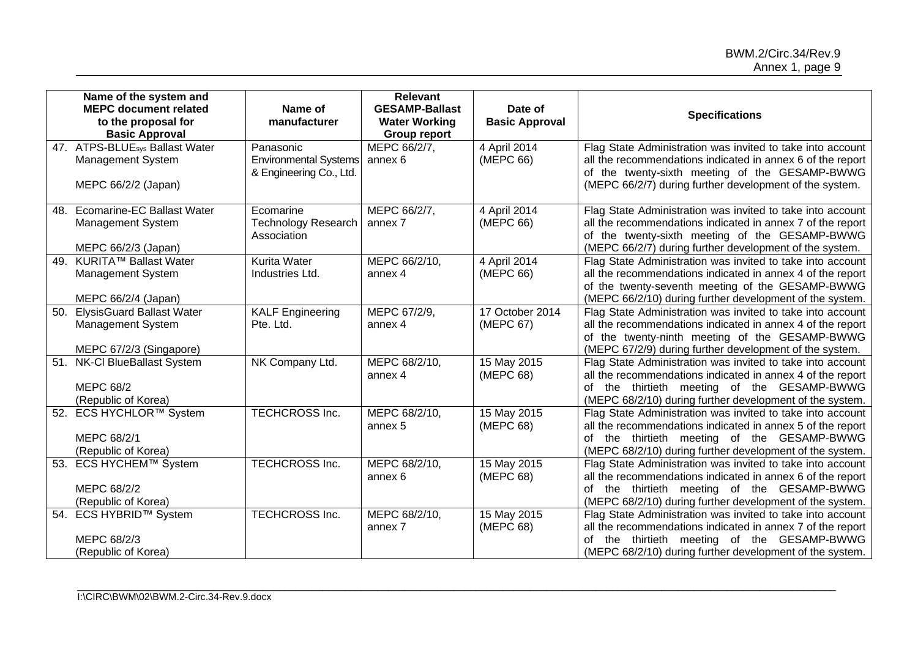|     | Name of the system and<br><b>MEPC document related</b><br>to the proposal for<br><b>Basic Approval</b> | Name of<br>manufacturer                                              | <b>Relevant</b><br><b>GESAMP-Ballast</b><br><b>Water Working</b><br><b>Group report</b> | Date of<br><b>Basic Approval</b> | <b>Specifications</b>                                                                                                                                                                                                                    |
|-----|--------------------------------------------------------------------------------------------------------|----------------------------------------------------------------------|-----------------------------------------------------------------------------------------|----------------------------------|------------------------------------------------------------------------------------------------------------------------------------------------------------------------------------------------------------------------------------------|
|     | 47. ATPS-BLUE <sub>sys</sub> Ballast Water<br>Management System<br>MEPC 66/2/2 (Japan)                 | Panasonic<br><b>Environmental Systems</b><br>& Engineering Co., Ltd. | MEPC 66/2/7,<br>annex 6                                                                 | 4 April 2014<br>(MEPC 66)        | Flag State Administration was invited to take into account<br>all the recommendations indicated in annex 6 of the report<br>of the twenty-sixth meeting of the GESAMP-BWWG<br>(MEPC 66/2/7) during further development of the system.    |
| 48. | <b>Ecomarine-EC Ballast Water</b><br>Management System<br>MEPC 66/2/3 (Japan)                          | Ecomarine<br><b>Technology Research</b><br>Association               | MEPC 66/2/7,<br>annex 7                                                                 | 4 April 2014<br>(MEPC 66)        | Flag State Administration was invited to take into account<br>all the recommendations indicated in annex 7 of the report<br>of the twenty-sixth meeting of the GESAMP-BWWG<br>(MEPC 66/2/7) during further development of the system.    |
| 49. | KURITA™ Ballast Water<br><b>Management System</b><br>MEPC 66/2/4 (Japan)                               | <b>Kurita Water</b><br>Industries Ltd.                               | MEPC 66/2/10,<br>annex 4                                                                | 4 April 2014<br>(MEPC 66)        | Flag State Administration was invited to take into account<br>all the recommendations indicated in annex 4 of the report<br>of the twenty-seventh meeting of the GESAMP-BWWG<br>(MEPC 66/2/10) during further development of the system. |
| 50. | <b>ElysisGuard Ballast Water</b><br><b>Management System</b><br>MEPC 67/2/3 (Singapore)                | <b>KALF Engineering</b><br>Pte. Ltd.                                 | MEPC 67/2/9,<br>annex 4                                                                 | 17 October 2014<br>(MEPC 67)     | Flag State Administration was invited to take into account<br>all the recommendations indicated in annex 4 of the report<br>of the twenty-ninth meeting of the GESAMP-BWWG<br>(MEPC 67/2/9) during further development of the system.    |
| 51. | <b>NK-CI BlueBallast System</b><br><b>MEPC 68/2</b><br>(Republic of Korea)                             | NK Company Ltd.                                                      | MEPC 68/2/10,<br>annex 4                                                                | 15 May 2015<br>(MEPC 68)         | Flag State Administration was invited to take into account<br>all the recommendations indicated in annex 4 of the report<br>of the thirtieth meeting of the GESAMP-BWWG<br>(MEPC 68/2/10) during further development of the system.      |
|     | 52. ECS HYCHLOR™ System<br>MEPC 68/2/1<br>(Republic of Korea)                                          | <b>TECHCROSS Inc.</b>                                                | MEPC 68/2/10,<br>annex 5                                                                | 15 May 2015<br>(MEPC 68)         | Flag State Administration was invited to take into account<br>all the recommendations indicated in annex 5 of the report<br>of the thirtieth meeting of the GESAMP-BWWG<br>(MEPC 68/2/10) during further development of the system.      |
|     | 53. ECS HYCHEM™ System<br>MEPC 68/2/2<br>(Republic of Korea)                                           | <b>TECHCROSS Inc.</b>                                                | MEPC 68/2/10,<br>annex 6                                                                | 15 May 2015<br>(MEPC 68)         | Flag State Administration was invited to take into account<br>all the recommendations indicated in annex 6 of the report<br>of the thirtieth meeting of the GESAMP-BWWG<br>(MEPC 68/2/10) during further development of the system.      |
|     | 54. ECS HYBRID™ System<br>MEPC 68/2/3<br>(Republic of Korea)                                           | <b>TECHCROSS Inc.</b>                                                | MEPC 68/2/10,<br>annex 7                                                                | 15 May 2015<br>(MEPC 68)         | Flag State Administration was invited to take into account<br>all the recommendations indicated in annex 7 of the report<br>the thirtieth meeting of the GESAMP-BWWG<br>of<br>(MEPC 68/2/10) during further development of the system.   |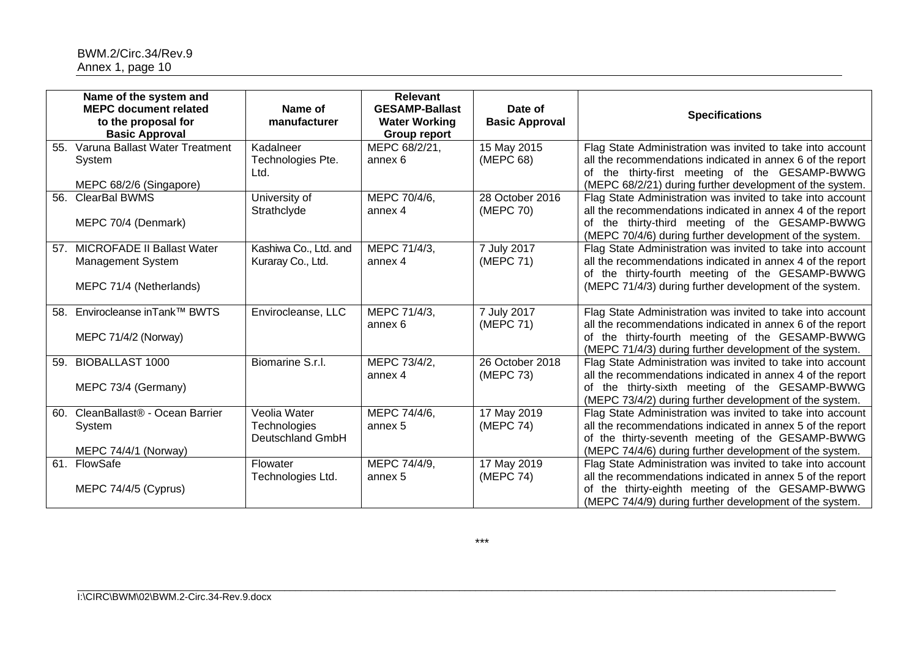|                 | Name of the system and<br><b>MEPC document related</b><br>to the proposal for<br><b>Basic Approval</b> | Name of<br>manufacturer                          | <b>Relevant</b><br><b>GESAMP-Ballast</b><br><b>Water Working</b><br><b>Group report</b> | Date of<br><b>Basic Approval</b> | <b>Specifications</b>                                                                                                                                                                                                                   |
|-----------------|--------------------------------------------------------------------------------------------------------|--------------------------------------------------|-----------------------------------------------------------------------------------------|----------------------------------|-----------------------------------------------------------------------------------------------------------------------------------------------------------------------------------------------------------------------------------------|
| 55.             | Varuna Ballast Water Treatment<br>System<br>MEPC 68/2/6 (Singapore)                                    | Kadalneer<br>Technologies Pte.<br>Ltd.           | MEPC 68/2/21,<br>annex 6                                                                | 15 May 2015<br>(MEPC 68)         | Flag State Administration was invited to take into account<br>all the recommendations indicated in annex 6 of the report<br>of the thirty-first meeting of the GESAMP-BWWG<br>(MEPC 68/2/21) during further development of the system.  |
| 56.             | <b>ClearBal BWMS</b><br>MEPC 70/4 (Denmark)                                                            | University of<br>Strathclyde                     | MEPC 70/4/6,<br>annex 4                                                                 | 28 October 2016<br>(MEPC 70)     | Flag State Administration was invited to take into account<br>all the recommendations indicated in annex 4 of the report<br>of the thirty-third meeting of the GESAMP-BWWG<br>(MEPC 70/4/6) during further development of the system.   |
| 57 <sub>1</sub> | <b>MICROFADE II Ballast Water</b><br><b>Management System</b><br>MEPC 71/4 (Netherlands)               | Kashiwa Co., Ltd. and<br>Kuraray Co., Ltd.       | MEPC 71/4/3,<br>annex 4                                                                 | 7 July 2017<br>(MEPC 71)         | Flag State Administration was invited to take into account<br>all the recommendations indicated in annex 4 of the report<br>of the thirty-fourth meeting of the GESAMP-BWWG<br>(MEPC 71/4/3) during further development of the system.  |
| 58.             | Envirocleanse inTank™ BWTS<br>MEPC 71/4/2 (Norway)                                                     | Envirocleanse, LLC                               | MEPC 71/4/3,<br>annex 6                                                                 | 7 July 2017<br>(MEPC 71)         | Flag State Administration was invited to take into account<br>all the recommendations indicated in annex 6 of the report<br>of the thirty-fourth meeting of the GESAMP-BWWG<br>(MEPC 71/4/3) during further development of the system.  |
| 59.             | <b>BIOBALLAST 1000</b><br>MEPC 73/4 (Germany)                                                          | Biomarine S.r.l.                                 | MEPC 73/4/2,<br>annex 4                                                                 | 26 October 2018<br>(MEPC 73)     | Flag State Administration was invited to take into account<br>all the recommendations indicated in annex 4 of the report<br>of the thirty-sixth meeting of the GESAMP-BWWG<br>(MEPC 73/4/2) during further development of the system.   |
| 60.             | CleanBallast® - Ocean Barrier<br>System<br>MEPC 74/4/1 (Norway)                                        | Veolia Water<br>Technologies<br>Deutschland GmbH | MEPC 74/4/6,<br>annex 5                                                                 | 17 May 2019<br>(MEPC 74)         | Flag State Administration was invited to take into account<br>all the recommendations indicated in annex 5 of the report<br>of the thirty-seventh meeting of the GESAMP-BWWG<br>(MEPC 74/4/6) during further development of the system. |
|                 | 61. FlowSafe<br>MEPC 74/4/5 (Cyprus)                                                                   | Flowater<br>Technologies Ltd.                    | MEPC 74/4/9,<br>annex 5                                                                 | 17 May 2019<br>(MEPC 74)         | Flag State Administration was invited to take into account<br>all the recommendations indicated in annex 5 of the report<br>of the thirty-eighth meeting of the GESAMP-BWWG<br>(MEPC 74/4/9) during further development of the system.  |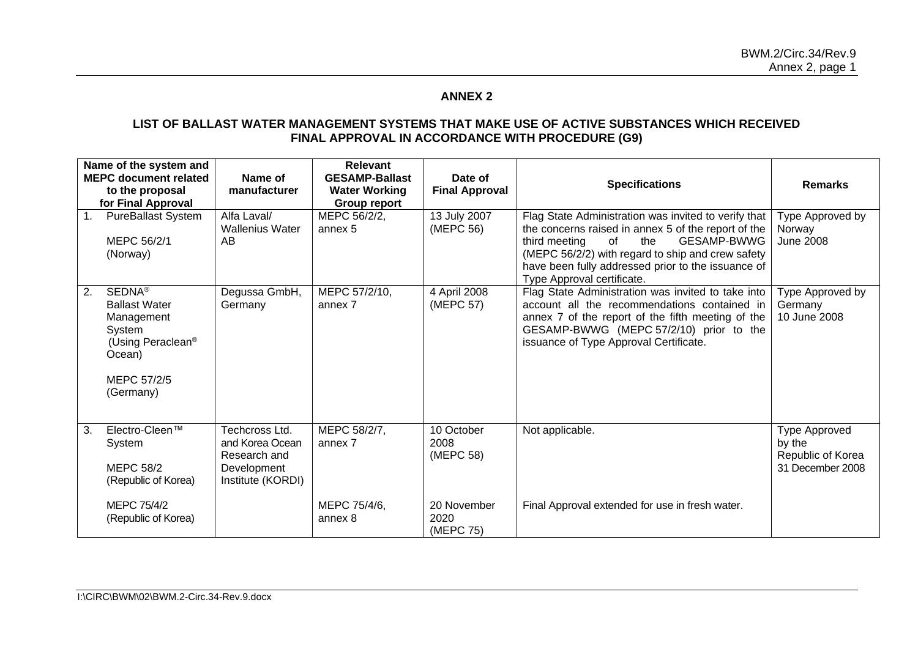# **ANNEX 2**

#### **LIST OF BALLAST WATER MANAGEMENT SYSTEMS THAT MAKE USE OF ACTIVE SUBSTANCES WHICH RECEIVED FINAL APPROVAL IN ACCORDANCE WITH PROCEDURE (G9)**

|                | Name of the system and<br><b>MEPC document related</b><br>to the proposal<br>for Final Approval                                      | Name of<br>manufacturer                                                               | <b>Relevant</b><br><b>GESAMP-Ballast</b><br><b>Water Working</b><br><b>Group report</b> | Date of<br><b>Final Approval</b> | <b>Specifications</b>                                                                                                                                                                                                                                                                                    | <b>Remarks</b>                                                   |
|----------------|--------------------------------------------------------------------------------------------------------------------------------------|---------------------------------------------------------------------------------------|-----------------------------------------------------------------------------------------|----------------------------------|----------------------------------------------------------------------------------------------------------------------------------------------------------------------------------------------------------------------------------------------------------------------------------------------------------|------------------------------------------------------------------|
| 1 <sub>1</sub> | <b>PureBallast System</b><br>MEPC 56/2/1<br>(Norway)                                                                                 | Alfa Laval/<br><b>Wallenius Water</b><br>AB                                           | MEPC 56/2/2,<br>annex 5                                                                 | 13 July 2007<br>(MEPC 56)        | Flag State Administration was invited to verify that<br>the concerns raised in annex 5 of the report of the<br>of<br><b>GESAMP-BWWG</b><br>third meeting<br>the<br>(MEPC 56/2/2) with regard to ship and crew safety<br>have been fully addressed prior to the issuance of<br>Type Approval certificate. | Type Approved by<br>Norway<br><b>June 2008</b>                   |
| 2.             | <b>SEDNA®</b><br><b>Ballast Water</b><br>Management<br>System<br>(Using Peraclean <sup>®</sup><br>Ocean)<br>MEPC 57/2/5<br>(Germany) | Degussa GmbH,<br>Germany                                                              | MEPC 57/2/10,<br>annex 7                                                                | 4 April 2008<br>(MEPC 57)        | Flag State Administration was invited to take into<br>account all the recommendations contained in<br>annex 7 of the report of the fifth meeting of the<br>GESAMP-BWWG (MEPC 57/2/10) prior to the<br>issuance of Type Approval Certificate.                                                             | Type Approved by<br>Germany<br>10 June 2008                      |
| 3.             | Electro-Cleen™<br>System<br><b>MEPC 58/2</b><br>(Republic of Korea)                                                                  | Techcross Ltd.<br>and Korea Ocean<br>Research and<br>Development<br>Institute (KORDI) | MEPC 58/2/7,<br>annex 7                                                                 | 10 October<br>2008<br>(MEPC 58)  | Not applicable.                                                                                                                                                                                                                                                                                          | Type Approved<br>by the<br>Republic of Korea<br>31 December 2008 |
|                | MEPC 75/4/2<br>(Republic of Korea)                                                                                                   |                                                                                       | MEPC 75/4/6,<br>annex 8                                                                 | 20 November<br>2020<br>(MEPC 75) | Final Approval extended for use in fresh water.                                                                                                                                                                                                                                                          |                                                                  |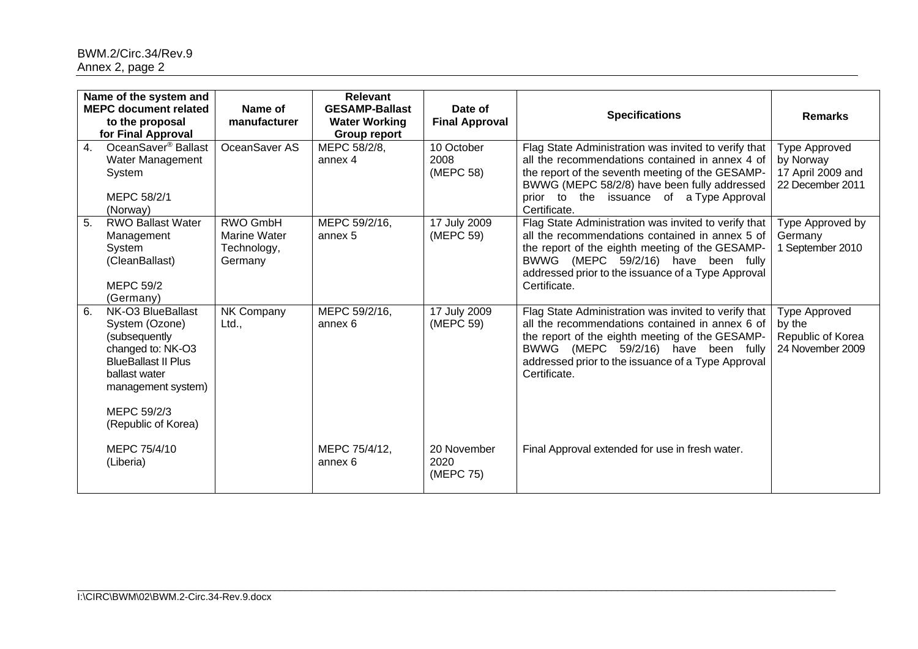|    | Name of the system and<br><b>MEPC document related</b><br>to the proposal<br>for Final Approval                                                                                      | Name of<br>manufacturer                                          | <b>Relevant</b><br><b>GESAMP-Ballast</b><br><b>Water Working</b><br><b>Group report</b> | Date of<br><b>Final Approval</b> | <b>Specifications</b>                                                                                                                                                                                                                                                      | <b>Remarks</b>                                                             |
|----|--------------------------------------------------------------------------------------------------------------------------------------------------------------------------------------|------------------------------------------------------------------|-----------------------------------------------------------------------------------------|----------------------------------|----------------------------------------------------------------------------------------------------------------------------------------------------------------------------------------------------------------------------------------------------------------------------|----------------------------------------------------------------------------|
| 4. | OceanSaver <sup>®</sup> Ballast<br>Water Management<br>System<br>MEPC 58/2/1<br>(Norway)                                                                                             | OceanSaver AS                                                    | MEPC 58/2/8,<br>annex 4                                                                 | 10 October<br>2008<br>(MEPC 58)  | Flag State Administration was invited to verify that<br>all the recommendations contained in annex 4 of<br>the report of the seventh meeting of the GESAMP-<br>BWWG (MEPC 58/2/8) have been fully addressed<br>prior to the issuance of a Type Approval<br>Certificate.    | <b>Type Approved</b><br>by Norway<br>17 April 2009 and<br>22 December 2011 |
| 5. | <b>RWO Ballast Water</b><br>Management<br>System<br>(CleanBallast)<br><b>MEPC 59/2</b><br>(Germany)                                                                                  | <b>RWO GmbH</b><br><b>Marine Water</b><br>Technology,<br>Germany | MEPC 59/2/16,<br>annex 5                                                                | 17 July 2009<br>(MEPC 59)        | Flag State Administration was invited to verify that<br>all the recommendations contained in annex 5 of<br>the report of the eighth meeting of the GESAMP-<br>(MEPC 59/2/16) have been fully<br>BWWG<br>addressed prior to the issuance of a Type Approval<br>Certificate. | Type Approved by<br>Germany<br>1 September 2010                            |
| 6. | NK-O3 BlueBallast<br>System (Ozone)<br>(subsequently<br>changed to: NK-O3<br><b>BlueBallast II Plus</b><br>ballast water<br>management system)<br>MEPC 59/2/3<br>(Republic of Korea) | NK Company<br>Ltd.,                                              | MEPC 59/2/16,<br>annex 6                                                                | 17 July 2009<br>(MEPC 59)        | Flag State Administration was invited to verify that<br>all the recommendations contained in annex 6 of<br>the report of the eighth meeting of the GESAMP-<br>BWWG (MEPC 59/2/16) have been fully<br>addressed prior to the issuance of a Type Approval<br>Certificate.    | Type Approved<br>by the<br>Republic of Korea<br>24 November 2009           |
|    | MEPC 75/4/10<br>(Liberia)                                                                                                                                                            |                                                                  | MEPC 75/4/12,<br>annex 6                                                                | 20 November<br>2020<br>(MEPC 75) | Final Approval extended for use in fresh water.                                                                                                                                                                                                                            |                                                                            |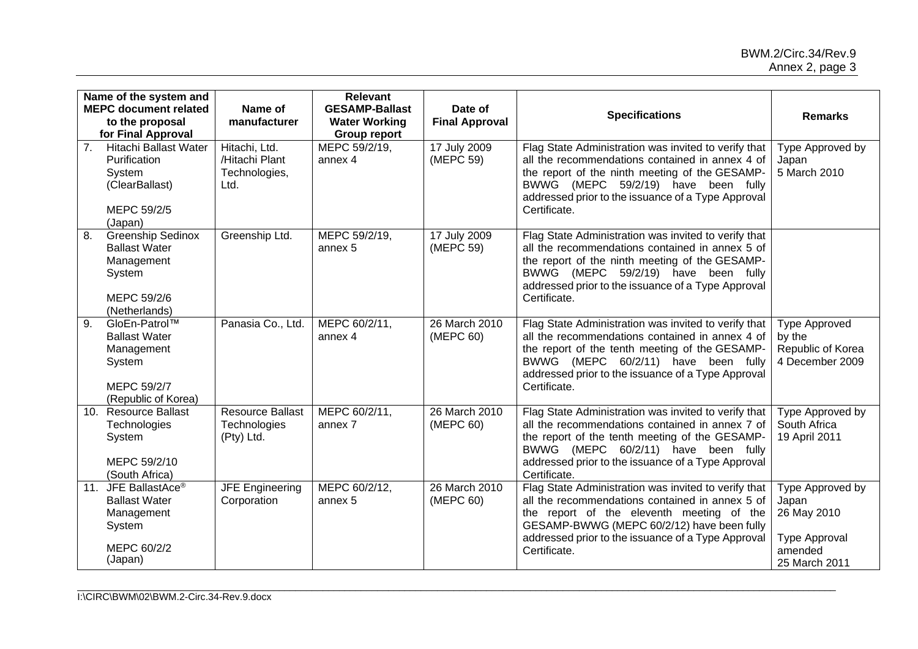|                  | Name of the system and<br><b>MEPC document related</b><br>to the proposal<br>for Final Approval           | Name of<br>manufacturer                                  | <b>Relevant</b><br><b>GESAMP-Ballast</b><br><b>Water Working</b><br><b>Group report</b> | Date of<br><b>Final Approval</b> | <b>Specifications</b>                                                                                                                                                                                                                                                    | <b>Remarks</b>                                                                               |
|------------------|-----------------------------------------------------------------------------------------------------------|----------------------------------------------------------|-----------------------------------------------------------------------------------------|----------------------------------|--------------------------------------------------------------------------------------------------------------------------------------------------------------------------------------------------------------------------------------------------------------------------|----------------------------------------------------------------------------------------------|
| 7 <sub>1</sub>   | Hitachi Ballast Water<br>Purification<br>System<br>(ClearBallast)<br>MEPC 59/2/5<br>(Japan)               | Hitachi, Ltd.<br>/Hitachi Plant<br>Technologies,<br>Ltd. | MEPC 59/2/19,<br>annex 4                                                                | 17 July 2009<br>(MEPC 59)        | Flag State Administration was invited to verify that<br>all the recommendations contained in annex 4 of<br>the report of the ninth meeting of the GESAMP-<br>BWWG (MEPC 59/2/19) have been fully<br>addressed prior to the issuance of a Type Approval<br>Certificate.   | Type Approved by<br>Japan<br>5 March 2010                                                    |
| 8.               | <b>Greenship Sedinox</b><br><b>Ballast Water</b><br>Management<br>System<br>MEPC 59/2/6<br>(Netherlands)  | Greenship Ltd.                                           | MEPC 59/2/19,<br>annex 5                                                                | 17 July 2009<br>(MEPC 59)        | Flag State Administration was invited to verify that<br>all the recommendations contained in annex 5 of<br>the report of the ninth meeting of the GESAMP-<br>BWWG (MEPC 59/2/19) have been fully<br>addressed prior to the issuance of a Type Approval<br>Certificate.   |                                                                                              |
| $\overline{9}$ . | GloEn-Patrol™<br><b>Ballast Water</b><br>Management<br>System<br>MEPC 59/2/7<br>(Republic of Korea)       | Panasia Co., Ltd.                                        | MEPC 60/2/11,<br>annex 4                                                                | 26 March 2010<br>(MEPC 60)       | Flag State Administration was invited to verify that<br>all the recommendations contained in annex 4 of<br>the report of the tenth meeting of the GESAMP-<br>BWWG (MEPC 60/2/11) have been fully<br>addressed prior to the issuance of a Type Approval<br>Certificate.   | <b>Type Approved</b><br>by the<br>Republic of Korea<br>4 December 2009                       |
| 10.              | <b>Resource Ballast</b><br>Technologies<br>System<br>MEPC 59/2/10<br>(South Africa)                       | <b>Resource Ballast</b><br>Technologies<br>(Pty) Ltd.    | MEPC 60/2/11,<br>annex 7                                                                | 26 March 2010<br>(MEPC 60)       | Flag State Administration was invited to verify that<br>all the recommendations contained in annex 7 of<br>the report of the tenth meeting of the GESAMP-<br>BWWG (MEPC 60/2/11) have been fully<br>addressed prior to the issuance of a Type Approval<br>Certificate.   | Type Approved by<br>South Africa<br>19 April 2011                                            |
|                  | 11. JFE BallastAce <sup>®</sup><br><b>Ballast Water</b><br>Management<br>System<br>MEPC 60/2/2<br>(Japan) | <b>JFE Engineering</b><br>Corporation                    | MEPC 60/2/12,<br>annex 5                                                                | 26 March 2010<br>(MEPC 60)       | Flag State Administration was invited to verify that<br>all the recommendations contained in annex 5 of<br>the report of the eleventh meeting of the<br>GESAMP-BWWG (MEPC 60/2/12) have been fully<br>addressed prior to the issuance of a Type Approval<br>Certificate. | Type Approved by<br>Japan<br>26 May 2010<br><b>Type Approval</b><br>amended<br>25 March 2011 |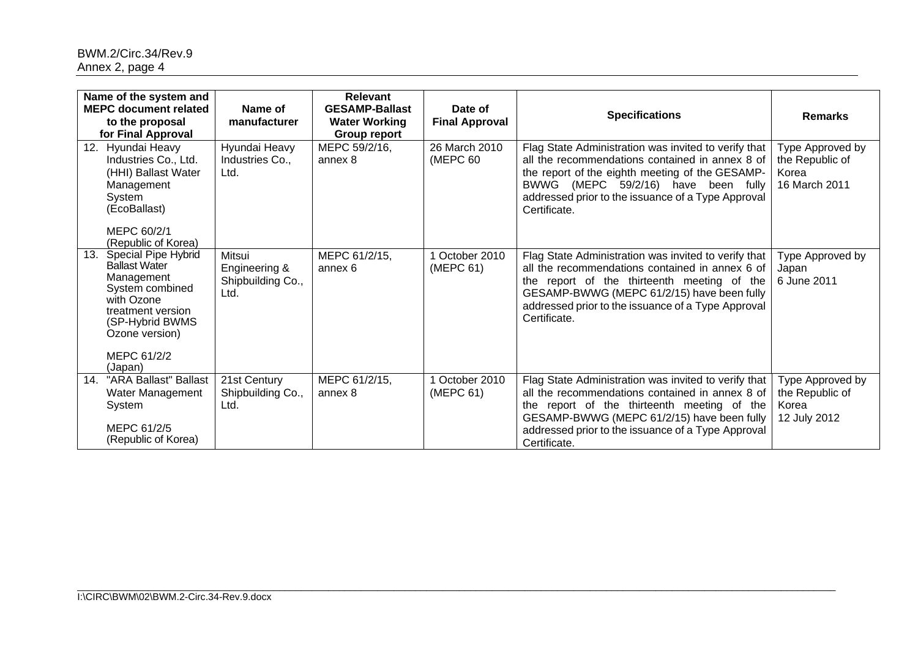| Name of the system and<br><b>MEPC document related</b><br>to the proposal<br>for Final Approval                                                                                        | Name of<br>manufacturer                              | Relevant<br><b>GESAMP-Ballast</b><br><b>Water Working</b><br>Group report | Date of<br><b>Final Approval</b> | <b>Specifications</b>                                                                                                                                                                                                                                                      | <b>Remarks</b>                                                |
|----------------------------------------------------------------------------------------------------------------------------------------------------------------------------------------|------------------------------------------------------|---------------------------------------------------------------------------|----------------------------------|----------------------------------------------------------------------------------------------------------------------------------------------------------------------------------------------------------------------------------------------------------------------------|---------------------------------------------------------------|
| Hyundai Heavy<br>12.<br>Industries Co., Ltd.<br>(HHI) Ballast Water<br>Management<br>System<br>(EcoBallast)<br>MEPC 60/2/1<br>(Republic of Korea)                                      | Hyundai Heavy<br>Industries Co.,<br>Ltd.             | MEPC 59/2/16,<br>annex 8                                                  | 26 March 2010<br>(MEPC 60        | Flag State Administration was invited to verify that<br>all the recommendations contained in annex 8 of<br>the report of the eighth meeting of the GESAMP-<br>BWWG (MEPC 59/2/16) have been fully<br>addressed prior to the issuance of a Type Approval<br>Certificate.    | Type Approved by<br>the Republic of<br>Korea<br>16 March 2011 |
| 13.<br>Special Pipe Hybrid<br><b>Ballast Water</b><br>Management<br>System combined<br>with Ozone<br>treatment version<br>(SP-Hybrid BWMS)<br>Ozone version)<br>MEPC 61/2/2<br>(Japan) | Mitsui<br>Engineering &<br>Shipbuilding Co.,<br>Ltd. | MEPC 61/2/15,<br>annex 6                                                  | 1 October 2010<br>(MEPC 61)      | Flag State Administration was invited to verify that<br>all the recommendations contained in annex 6 of<br>the report of the thirteenth meeting of the<br>GESAMP-BWWG (MEPC 61/2/15) have been fully<br>addressed prior to the issuance of a Type Approval<br>Certificate. | Type Approved by<br>Japan<br>6 June 2011                      |
| "ARA Ballast" Ballast<br>14.<br>Water Management<br>System<br>MEPC 61/2/5<br>(Republic of Korea)                                                                                       | 21st Century<br>Shipbuilding Co.,<br>Ltd.            | MEPC 61/2/15,<br>annex 8                                                  | 1 October 2010<br>(MEPC 61)      | Flag State Administration was invited to verify that<br>all the recommendations contained in annex 8 of<br>the report of the thirteenth meeting of the<br>GESAMP-BWWG (MEPC 61/2/15) have been fully<br>addressed prior to the issuance of a Type Approval<br>Certificate. | Type Approved by<br>the Republic of<br>Korea<br>12 July 2012  |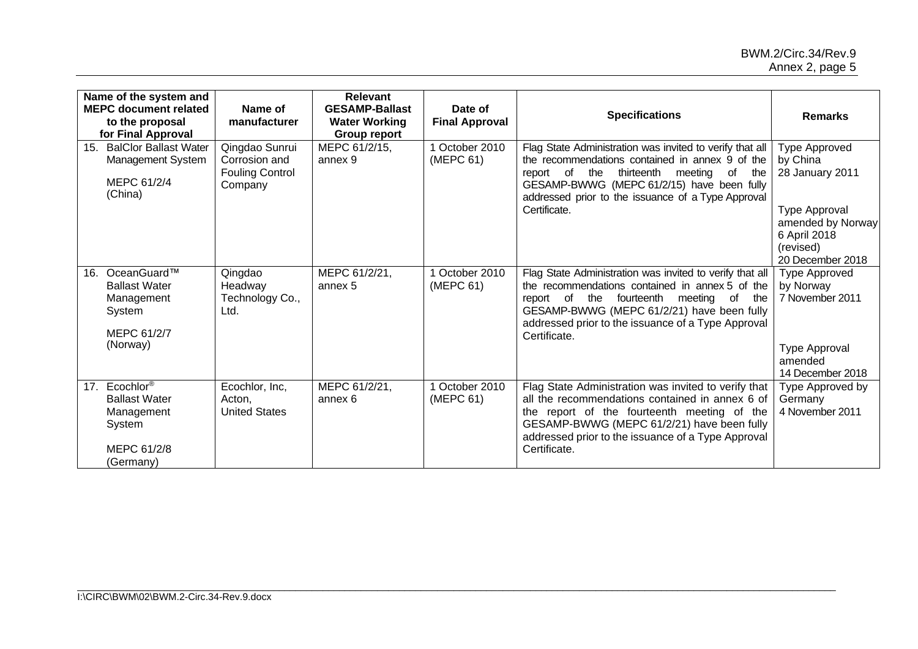| Name of the system and<br><b>MEPC document related</b><br>to the proposal<br>for Final Approval       | Name of<br>manufacturer                                              | <b>Relevant</b><br><b>GESAMP-Ballast</b><br><b>Water Working</b><br><b>Group report</b> | Date of<br><b>Final Approval</b> | <b>Specifications</b>                                                                                                                                                                                                                                                            | <b>Remarks</b>                                                                                                                      |
|-------------------------------------------------------------------------------------------------------|----------------------------------------------------------------------|-----------------------------------------------------------------------------------------|----------------------------------|----------------------------------------------------------------------------------------------------------------------------------------------------------------------------------------------------------------------------------------------------------------------------------|-------------------------------------------------------------------------------------------------------------------------------------|
| <b>BalClor Ballast Water</b><br>15.<br>Management System<br>MEPC 61/2/4<br>(China)                    | Qingdao Sunrui<br>Corrosion and<br><b>Fouling Control</b><br>Company | MEPC 61/2/15,<br>annex 9                                                                | 1 October 2010<br>(MEPC 61)      | Flag State Administration was invited to verify that all<br>the recommendations contained in annex 9 of the<br>thirteenth meeting of<br>report of the<br>the<br>GESAMP-BWWG (MEPC 61/2/15) have been fully<br>addressed prior to the issuance of a Type Approval<br>Certificate. | Type Approved<br>by China<br>28 January 2011<br>Type Approval<br>amended by Norway<br>6 April 2018<br>(revised)<br>20 December 2018 |
| OceanGuard™<br>16.<br><b>Ballast Water</b><br>Management<br>System<br>MEPC 61/2/7<br>(Norway)         | Qingdao<br>Headway<br>Technology Co.,<br>Ltd.                        | MEPC 61/2/21,<br>annex 5                                                                | 1 October 2010<br>(MEPC 61)      | Flag State Administration was invited to verify that all<br>the recommendations contained in annex 5 of the<br>report of the fourteenth meeting of<br>the<br>GESAMP-BWWG (MEPC 61/2/21) have been fully<br>addressed prior to the issuance of a Type Approval<br>Certificate.    | <b>Type Approved</b><br>by Norway<br>7 November 2011<br><b>Type Approval</b><br>amended<br>14 December 2018                         |
| 17. Ecochlor <sup>®</sup><br><b>Ballast Water</b><br>Management<br>System<br>MEPC 61/2/8<br>(Germany) | Ecochlor, Inc,<br>Acton,<br><b>United States</b>                     | MEPC 61/2/21,<br>annex 6                                                                | 1 October 2010<br>(MEPC 61)      | Flag State Administration was invited to verify that<br>all the recommendations contained in annex 6 of<br>the report of the fourteenth meeting of the<br>GESAMP-BWWG (MEPC 61/2/21) have been fully<br>addressed prior to the issuance of a Type Approval<br>Certificate.       | Type Approved by<br>Germany<br>4 November 2011                                                                                      |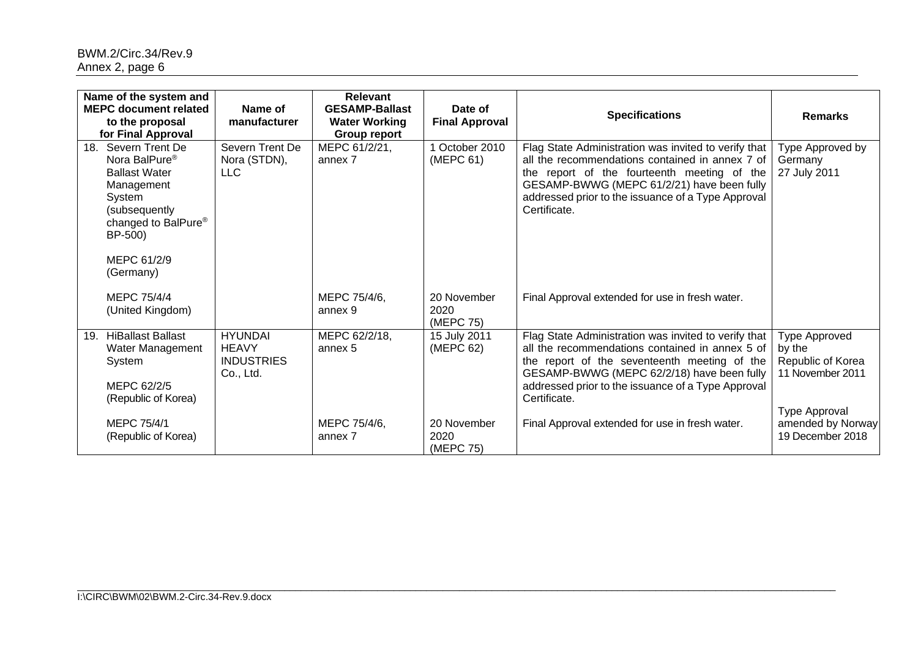| Name of the system and<br><b>MEPC document related</b><br>to the proposal<br>for Final Approval                                                                                  | Name of<br>manufacturer                                          | Relevant<br><b>GESAMP-Ballast</b><br><b>Water Working</b><br>Group report | Date of<br><b>Final Approval</b> | <b>Specifications</b>                                                                                                                                                                                                                                                       | <b>Remarks</b>                                                                    |
|----------------------------------------------------------------------------------------------------------------------------------------------------------------------------------|------------------------------------------------------------------|---------------------------------------------------------------------------|----------------------------------|-----------------------------------------------------------------------------------------------------------------------------------------------------------------------------------------------------------------------------------------------------------------------------|-----------------------------------------------------------------------------------|
| 18. Severn Trent De<br>Nora BalPure <sup>®</sup><br><b>Ballast Water</b><br>Management<br>System<br>(subsequently)<br>changed to BalPure®<br>BP-500)<br>MEPC 61/2/9<br>(Germany) | Severn Trent De<br>Nora (STDN),<br><b>LLC</b>                    | MEPC 61/2/21,<br>annex 7                                                  | 1 October 2010<br>(MEPC 61)      | Flag State Administration was invited to verify that<br>all the recommendations contained in annex 7 of<br>the report of the fourteenth meeting of the<br>GESAMP-BWWG (MEPC 61/2/21) have been fully<br>addressed prior to the issuance of a Type Approval<br>Certificate.  | Type Approved by<br>Germany<br>27 July 2011                                       |
| MEPC 75/4/4<br>(United Kingdom)                                                                                                                                                  |                                                                  | MEPC 75/4/6,<br>annex 9                                                   | 20 November<br>2020<br>(MEPC 75) | Final Approval extended for use in fresh water.                                                                                                                                                                                                                             |                                                                                   |
| <b>HiBallast Ballast</b><br>19.<br>Water Management<br>System<br>MEPC 62/2/5<br>(Republic of Korea)                                                                              | <b>HYUNDAI</b><br><b>HEAVY</b><br><b>INDUSTRIES</b><br>Co., Ltd. | MEPC 62/2/18,<br>annex 5                                                  | 15 July 2011<br>(MEPC 62)        | Flag State Administration was invited to verify that<br>all the recommendations contained in annex 5 of<br>the report of the seventeenth meeting of the<br>GESAMP-BWWG (MEPC 62/2/18) have been fully<br>addressed prior to the issuance of a Type Approval<br>Certificate. | Type Approved<br>by the<br>Republic of Korea<br>11 November 2011<br>Type Approval |
| MEPC 75/4/1<br>(Republic of Korea)                                                                                                                                               |                                                                  | MEPC 75/4/6,<br>annex 7                                                   | 20 November<br>2020<br>(MEPC 75) | Final Approval extended for use in fresh water.                                                                                                                                                                                                                             | amended by Norway<br>19 December 2018                                             |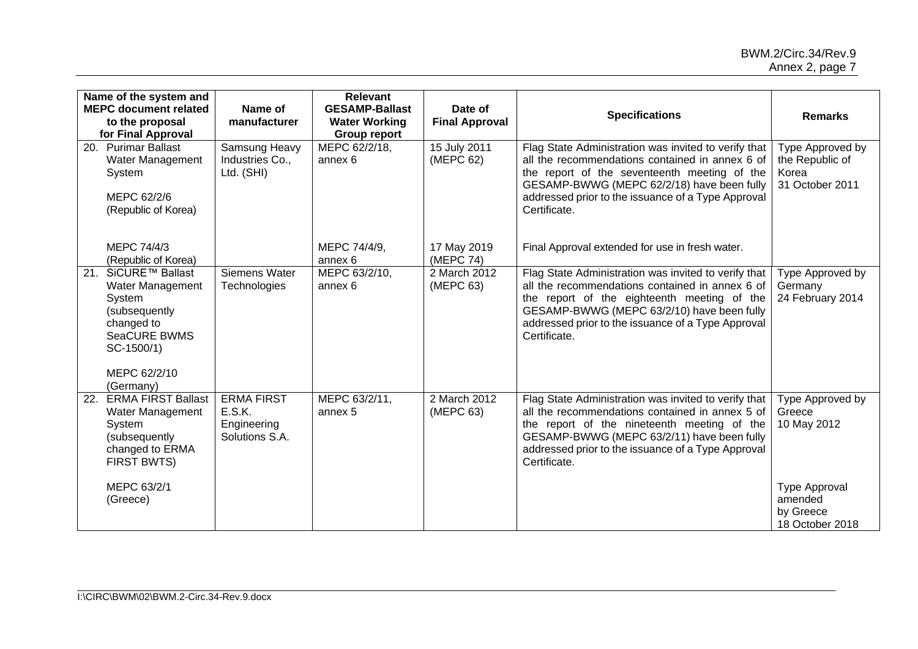| Name of the system and<br><b>MEPC document related</b><br>to the proposal<br>for Final Approval                                          | Name of<br>manufacturer                                      | <b>Relevant</b><br><b>GESAMP-Ballast</b><br><b>Water Working</b><br><b>Group report</b> | Date of<br><b>Final Approval</b> | <b>Specifications</b>                                                                                                                                                                                                                                                       | <b>Remarks</b>                                                  |
|------------------------------------------------------------------------------------------------------------------------------------------|--------------------------------------------------------------|-----------------------------------------------------------------------------------------|----------------------------------|-----------------------------------------------------------------------------------------------------------------------------------------------------------------------------------------------------------------------------------------------------------------------------|-----------------------------------------------------------------|
| <b>Purimar Ballast</b><br>20.<br>Water Management<br>System<br>MEPC 62/2/6<br>(Republic of Korea)                                        | Samsung Heavy<br>Industries Co.,<br>Ltd. (SHI)               | MEPC 62/2/18,<br>annex 6                                                                | 15 July 2011<br>(MEPC 62)        | Flag State Administration was invited to verify that<br>all the recommendations contained in annex 6 of<br>the report of the seventeenth meeting of the<br>GESAMP-BWWG (MEPC 62/2/18) have been fully<br>addressed prior to the issuance of a Type Approval<br>Certificate. | Type Approved by<br>the Republic of<br>Korea<br>31 October 2011 |
| MEPC 74/4/3<br>(Republic of Korea)                                                                                                       |                                                              | MEPC 74/4/9,<br>annex 6                                                                 | 17 May 2019<br>(MEPC 74)         | Final Approval extended for use in fresh water.                                                                                                                                                                                                                             |                                                                 |
| SiCURE™ Ballast<br>21.<br>Water Management<br>System<br>(subsequently<br>changed to<br><b>SeaCURE BWMS</b><br>SC-1500/1)<br>MEPC 62/2/10 | Siemens Water<br>Technologies                                | MEPC 63/2/10,<br>annex 6                                                                | 2 March 2012<br>(MEPC 63)        | Flag State Administration was invited to verify that<br>all the recommendations contained in annex 6 of<br>the report of the eighteenth meeting of the<br>GESAMP-BWWG (MEPC 63/2/10) have been fully<br>addressed prior to the issuance of a Type Approval<br>Certificate.  | Type Approved by<br>Germany<br>24 February 2014                 |
| (Germany)<br><b>ERMA FIRST Ballast</b><br>22.<br>Water Management<br>System<br>(subsequently<br>changed to ERMA<br>FIRST BWTS)           | <b>ERMA FIRST</b><br>E.S.K.<br>Engineering<br>Solutions S.A. | MEPC 63/2/11,<br>annex 5                                                                | 2 March 2012<br>(MEPC 63)        | Flag State Administration was invited to verify that<br>all the recommendations contained in annex 5 of<br>the report of the nineteenth meeting of the<br>GESAMP-BWWG (MEPC 63/2/11) have been fully<br>addressed prior to the issuance of a Type Approval<br>Certificate.  | Type Approved by<br>Greece<br>10 May 2012                       |
| MEPC 63/2/1<br>(Greece)                                                                                                                  |                                                              |                                                                                         |                                  |                                                                                                                                                                                                                                                                             | <b>Type Approval</b><br>amended<br>by Greece<br>18 October 2018 |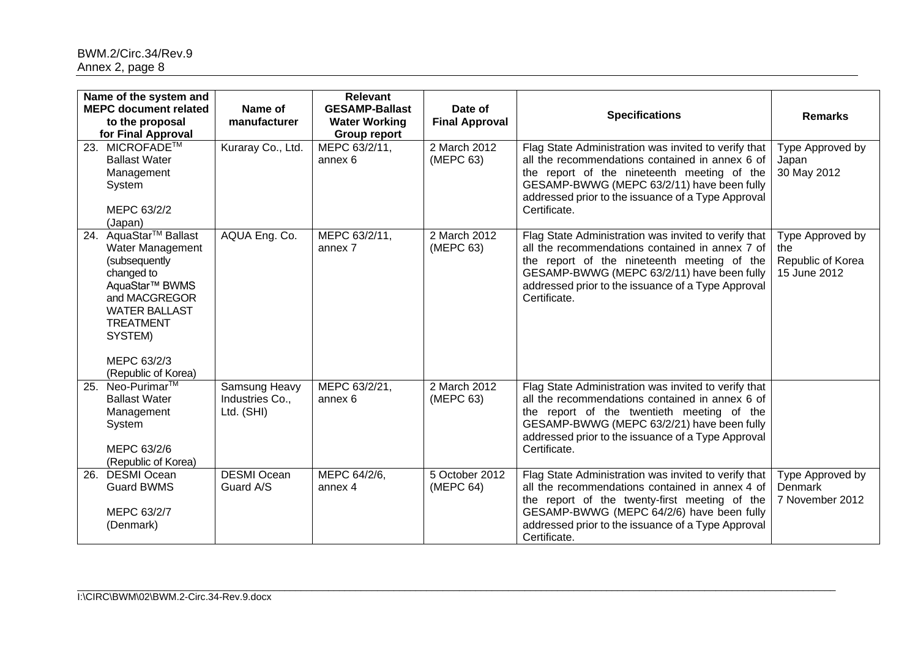| Name of the system and<br><b>MEPC document related</b>                                                                                                                                                                              | Name of                                        | <b>Relevant</b><br><b>GESAMP-Ballast</b>    | Date of                     |                                                                                                                                                                                                                                                                             |                                                              |
|-------------------------------------------------------------------------------------------------------------------------------------------------------------------------------------------------------------------------------------|------------------------------------------------|---------------------------------------------|-----------------------------|-----------------------------------------------------------------------------------------------------------------------------------------------------------------------------------------------------------------------------------------------------------------------------|--------------------------------------------------------------|
| to the proposal<br>for Final Approval                                                                                                                                                                                               | manufacturer                                   | <b>Water Working</b><br><b>Group report</b> | <b>Final Approval</b>       | <b>Specifications</b>                                                                                                                                                                                                                                                       | <b>Remarks</b>                                               |
| 23. MICROFADE™<br><b>Ballast Water</b><br>Management<br>System<br>MEPC 63/2/2<br>(Japan)                                                                                                                                            | Kuraray Co., Ltd.                              | MEPC 63/2/11,<br>annex 6                    | 2 March 2012<br>(MEPC 63)   | Flag State Administration was invited to verify that<br>all the recommendations contained in annex 6 of<br>the report of the nineteenth meeting of the<br>GESAMP-BWWG (MEPC 63/2/11) have been fully<br>addressed prior to the issuance of a Type Approval<br>Certificate.  | Type Approved by<br>Japan<br>30 May 2012                     |
| AquaStar <sup>™</sup> Ballast<br>24.<br>Water Management<br>(subsequently<br>changed to<br>AquaStar <sup>™</sup> BWMS<br>and MACGREGOR<br><b>WATER BALLAST</b><br><b>TREATMENT</b><br>SYSTEM)<br>MEPC 63/2/3<br>(Republic of Korea) | AQUA Eng. Co.                                  | MEPC 63/2/11,<br>annex 7                    | 2 March 2012<br>(MEPC 63)   | Flag State Administration was invited to verify that<br>all the recommendations contained in annex 7 of<br>the report of the nineteenth meeting of the<br>GESAMP-BWWG (MEPC 63/2/11) have been fully<br>addressed prior to the issuance of a Type Approval<br>Certificate.  | Type Approved by<br>the<br>Republic of Korea<br>15 June 2012 |
| Neo-Purimar <sup>™</sup><br>25.<br><b>Ballast Water</b><br>Management<br>System<br>MEPC 63/2/6<br>(Republic of Korea)                                                                                                               | Samsung Heavy<br>Industries Co.,<br>Ltd. (SHI) | MEPC 63/2/21,<br>annex 6                    | 2 March 2012<br>(MEPC 63)   | Flag State Administration was invited to verify that<br>all the recommendations contained in annex 6 of<br>the report of the twentieth meeting of the<br>GESAMP-BWWG (MEPC 63/2/21) have been fully<br>addressed prior to the issuance of a Type Approval<br>Certificate.   |                                                              |
| <b>DESMI Ocean</b><br>26.<br><b>Guard BWMS</b><br>MEPC 63/2/7<br>(Denmark)                                                                                                                                                          | <b>DESMI Ocean</b><br>Guard A/S                | MEPC 64/2/6,<br>annex 4                     | 5 October 2012<br>(MEPC 64) | Flag State Administration was invited to verify that<br>all the recommendations contained in annex 4 of<br>the report of the twenty-first meeting of the<br>GESAMP-BWWG (MEPC 64/2/6) have been fully<br>addressed prior to the issuance of a Type Approval<br>Certificate. | Type Approved by<br><b>Denmark</b><br>7 November 2012        |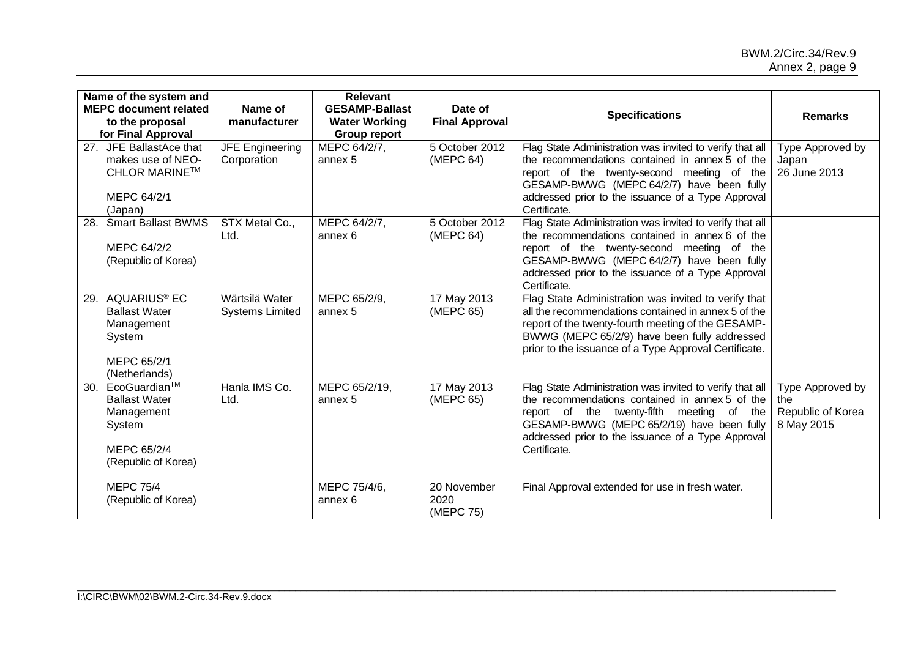| Name of the system and<br><b>MEPC document related</b><br>to the proposal                                       | Name of<br>manufacturer                  | <b>Relevant</b><br><b>GESAMP-Ballast</b><br><b>Water Working</b> | Date of<br><b>Final Approval</b> | <b>Specifications</b>                                                                                                                                                                                                                                                              | <b>Remarks</b>                                             |
|-----------------------------------------------------------------------------------------------------------------|------------------------------------------|------------------------------------------------------------------|----------------------------------|------------------------------------------------------------------------------------------------------------------------------------------------------------------------------------------------------------------------------------------------------------------------------------|------------------------------------------------------------|
| for Final Approval                                                                                              |                                          | <b>Group report</b>                                              |                                  |                                                                                                                                                                                                                                                                                    |                                                            |
| 27. JFE BallastAce that<br>makes use of NEO-<br><b>CHLOR MARINE™</b><br>MEPC 64/2/1<br>(Japan)                  | <b>JFE Engineering</b><br>Corporation    | MEPC 64/2/7,<br>annex 5                                          | 5 October 2012<br>(MEPC 64)      | Flag State Administration was invited to verify that all<br>the recommendations contained in annex 5 of the<br>report of the twenty-second meeting of the<br>GESAMP-BWWG (MEPC 64/2/7) have been fully<br>addressed prior to the issuance of a Type Approval<br>Certificate.       | Type Approved by<br>Japan<br>26 June 2013                  |
| <b>Smart Ballast BWMS</b><br>28.<br>MEPC 64/2/2<br>(Republic of Korea)                                          | STX Metal Co.,<br>Ltd.                   | MEPC 64/2/7,<br>annex 6                                          | 5 October 2012<br>(MEPC 64)      | Flag State Administration was invited to verify that all<br>the recommendations contained in annex 6 of the<br>report of the twenty-second meeting of the<br>GESAMP-BWWG (MEPC 64/2/7) have been fully<br>addressed prior to the issuance of a Type Approval<br>Certificate.       |                                                            |
| AQUARIUS <sup>®</sup> EC<br>29.<br><b>Ballast Water</b><br>Management<br>System<br>MEPC 65/2/1<br>(Netherlands) | Wärtsilä Water<br><b>Systems Limited</b> | MEPC 65/2/9,<br>annex 5                                          | 17 May 2013<br>(MEPC 65)         | Flag State Administration was invited to verify that<br>all the recommendations contained in annex 5 of the<br>report of the twenty-fourth meeting of the GESAMP-<br>BWWG (MEPC 65/2/9) have been fully addressed<br>prior to the issuance of a Type Approval Certificate.         |                                                            |
| EcoGuardian™<br>30.<br><b>Ballast Water</b><br>Management<br>System<br>MEPC 65/2/4<br>(Republic of Korea)       | Hanla IMS Co.<br>Ltd.                    | MEPC 65/2/19,<br>annex 5                                         | 17 May 2013<br>(MEPC 65)         | Flag State Administration was invited to verify that all<br>the recommendations contained in annex 5 of the<br>report of the twenty-fifth<br>meeting of<br>the<br>GESAMP-BWWG (MEPC 65/2/19) have been fully<br>addressed prior to the issuance of a Type Approval<br>Certificate. | Type Approved by<br>the<br>Republic of Korea<br>8 May 2015 |
| <b>MEPC 75/4</b><br>(Republic of Korea)                                                                         |                                          | MEPC 75/4/6,<br>annex <sub>6</sub>                               | 20 November<br>2020<br>(MEPC 75) | Final Approval extended for use in fresh water.                                                                                                                                                                                                                                    |                                                            |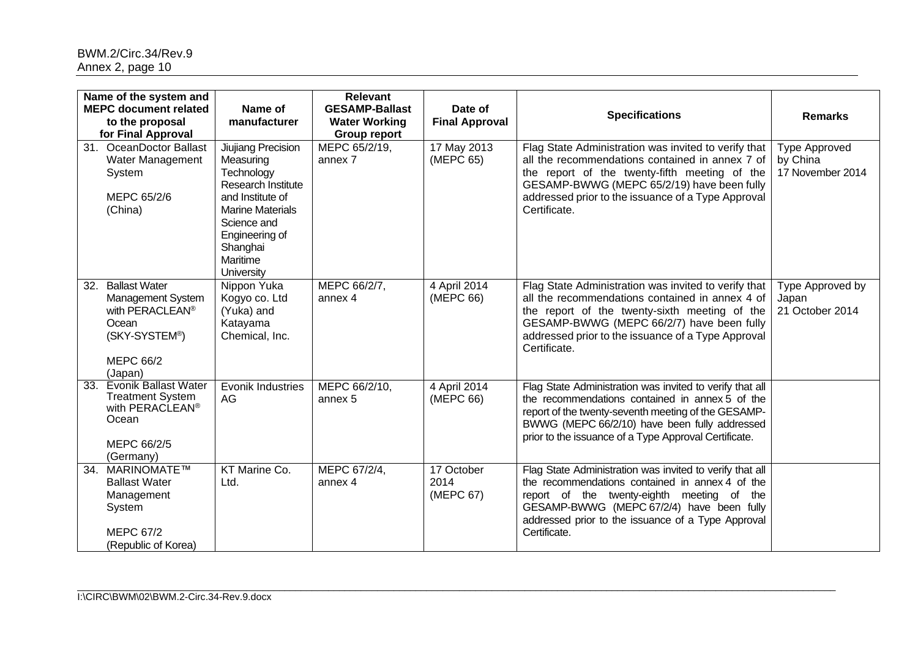| Name of the system and<br><b>MEPC document related</b><br>to the proposal<br>for Final Approval                                   | Name of<br>manufacturer                                                                                                                                                                   | <b>Relevant</b><br><b>GESAMP-Ballast</b><br><b>Water Working</b><br><b>Group report</b> | Date of<br><b>Final Approval</b> | <b>Specifications</b>                                                                                                                                                                                                                                                        | <b>Remarks</b>                                       |
|-----------------------------------------------------------------------------------------------------------------------------------|-------------------------------------------------------------------------------------------------------------------------------------------------------------------------------------------|-----------------------------------------------------------------------------------------|----------------------------------|------------------------------------------------------------------------------------------------------------------------------------------------------------------------------------------------------------------------------------------------------------------------------|------------------------------------------------------|
| 31. OceanDoctor Ballast<br>Water Management<br>System<br>MEPC 65/2/6<br>(China)                                                   | Jiujiang Precision<br>Measuring<br>Technology<br>Research Institute<br>and Institute of<br><b>Marine Materials</b><br>Science and<br>Engineering of<br>Shanghai<br>Maritime<br>University | MEPC 65/2/19,<br>annex 7                                                                | 17 May 2013<br>(MEPC 65)         | Flag State Administration was invited to verify that<br>all the recommendations contained in annex 7 of<br>the report of the twenty-fifth meeting of the<br>GESAMP-BWWG (MEPC 65/2/19) have been fully<br>addressed prior to the issuance of a Type Approval<br>Certificate. | <b>Type Approved</b><br>by China<br>17 November 2014 |
| <b>Ballast Water</b><br>32.<br>Management System<br>with PERACLEAN®<br>Ocean<br>(SKY-SYSTEM®)<br><b>MEPC 66/2</b><br>(Japan)      | Nippon Yuka<br>Kogyo co. Ltd<br>(Yuka) and<br>Katayama<br>Chemical, Inc.                                                                                                                  | MEPC 66/2/7,<br>annex 4                                                                 | 4 April 2014<br>(MEPC 66)        | Flag State Administration was invited to verify that<br>all the recommendations contained in annex 4 of<br>the report of the twenty-sixth meeting of the<br>GESAMP-BWWG (MEPC 66/2/7) have been fully<br>addressed prior to the issuance of a Type Approval<br>Certificate.  | Type Approved by<br>Japan<br>21 October 2014         |
| <b>Evonik Ballast Water</b><br>33.<br><b>Treatment System</b><br>with PERACLEAN <sup>®</sup><br>Ocean<br>MEPC 66/2/5<br>(Germany) | Evonik Industries<br>AG                                                                                                                                                                   | MEPC 66/2/10,<br>annex 5                                                                | 4 April 2014<br>(MEPC 66)        | Flag State Administration was invited to verify that all<br>the recommendations contained in annex 5 of the<br>report of the twenty-seventh meeting of the GESAMP-<br>BWWG (MEPC 66/2/10) have been fully addressed<br>prior to the issuance of a Type Approval Certificate. |                                                      |
| MARINOMATE™<br>34.<br><b>Ballast Water</b><br>Management<br>System<br><b>MEPC 67/2</b><br>(Republic of Korea)                     | KT Marine Co.<br>Ltd.                                                                                                                                                                     | MEPC 67/2/4,<br>annex 4                                                                 | 17 October<br>2014<br>(MEPC 67)  | Flag State Administration was invited to verify that all<br>the recommendations contained in annex 4 of the<br>report of the twenty-eighth meeting of the<br>GESAMP-BWWG (MEPC 67/2/4) have been fully<br>addressed prior to the issuance of a Type Approval<br>Certificate. |                                                      |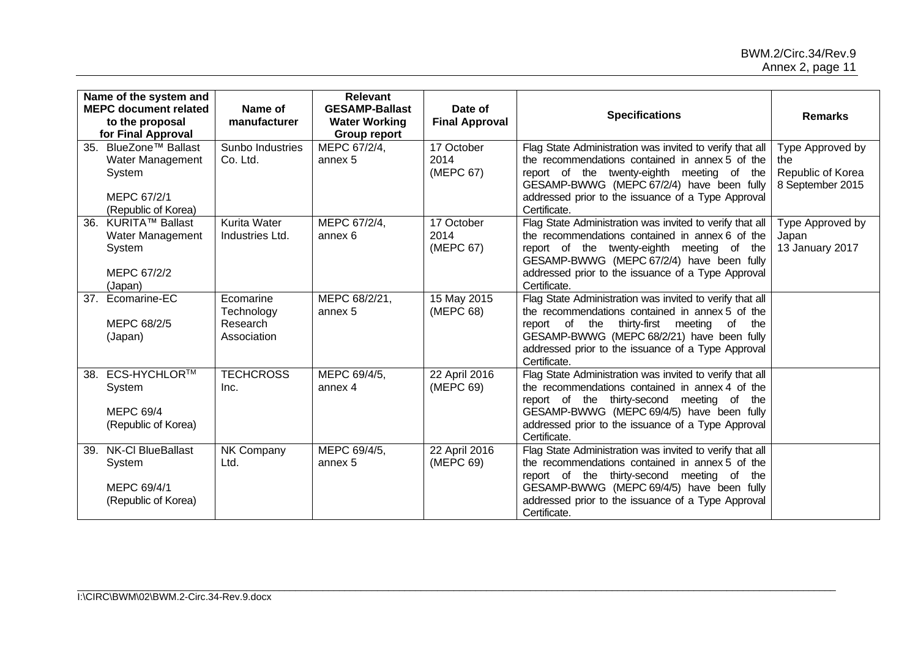|                | Name of the system and<br><b>MEPC document related</b><br>to the proposal                 | Name of<br>manufacturer                            | <b>Relevant</b><br><b>GESAMP-Ballast</b><br><b>Water Working</b> | Date of<br><b>Final Approval</b> | <b>Specifications</b>                                                                                                                                                                                                                                                              | <b>Remarks</b>                                                   |
|----------------|-------------------------------------------------------------------------------------------|----------------------------------------------------|------------------------------------------------------------------|----------------------------------|------------------------------------------------------------------------------------------------------------------------------------------------------------------------------------------------------------------------------------------------------------------------------------|------------------------------------------------------------------|
|                | for Final Approval                                                                        |                                                    | <b>Group report</b>                                              |                                  |                                                                                                                                                                                                                                                                                    |                                                                  |
|                | 35. BlueZone™ Ballast<br>Water Management<br>System<br>MEPC 67/2/1<br>(Republic of Korea) | Sunbo Industries<br>Co. Ltd.                       | MEPC 67/2/4,<br>annex 5                                          | 17 October<br>2014<br>(MEPC 67)  | Flag State Administration was invited to verify that all<br>the recommendations contained in annex 5 of the<br>report of the twenty-eighth meeting of the<br>GESAMP-BWWG (MEPC 67/2/4) have been fully<br>addressed prior to the issuance of a Type Approval<br>Certificate.       | Type Approved by<br>the<br>Republic of Korea<br>8 September 2015 |
| 36.<br>(Japan) | KURITA™ Ballast<br>Water Management<br>System<br>MEPC 67/2/2                              | <b>Kurita Water</b><br>Industries Ltd.             | MEPC 67/2/4,<br>annex 6                                          | 17 October<br>2014<br>(MEPC 67)  | Flag State Administration was invited to verify that all<br>the recommendations contained in annex 6 of the<br>report of the twenty-eighth meeting of the<br>GESAMP-BWWG (MEPC 67/2/4) have been fully<br>addressed prior to the issuance of a Type Approval<br>Certificate.       | Type Approved by<br>Japan<br>13 January 2017                     |
|                | 37. Ecomarine-EC<br>MEPC 68/2/5<br>(Japan)                                                | Ecomarine<br>Technology<br>Research<br>Association | MEPC 68/2/21,<br>annex 5                                         | 15 May 2015<br>(MEPC 68)         | Flag State Administration was invited to verify that all<br>the recommendations contained in annex 5 of the<br>report of the thirty-first meeting<br>the<br>of<br>GESAMP-BWWG (MEPC 68/2/21) have been fully<br>addressed prior to the issuance of a Type Approval<br>Certificate. |                                                                  |
| 38.            | ECS-HYCHLOR™<br>System<br><b>MEPC 69/4</b><br>(Republic of Korea)                         | <b>TECHCROSS</b><br>Inc.                           | MEPC 69/4/5,<br>annex 4                                          | 22 April 2016<br>(MEPC 69)       | Flag State Administration was invited to verify that all<br>the recommendations contained in annex 4 of the<br>report of the thirty-second meeting of the<br>GESAMP-BWWG (MEPC 69/4/5) have been fully<br>addressed prior to the issuance of a Type Approval<br>Certificate.       |                                                                  |
|                | 39. NK-Cl BlueBallast<br>System<br>MEPC 69/4/1<br>(Republic of Korea)                     | NK Company<br>Ltd.                                 | MEPC 69/4/5,<br>annex 5                                          | 22 April 2016<br>(MEPC 69)       | Flag State Administration was invited to verify that all<br>the recommendations contained in annex 5 of the<br>report of the thirty-second meeting of the<br>GESAMP-BWWG (MEPC 69/4/5) have been fully<br>addressed prior to the issuance of a Type Approval<br>Certificate.       |                                                                  |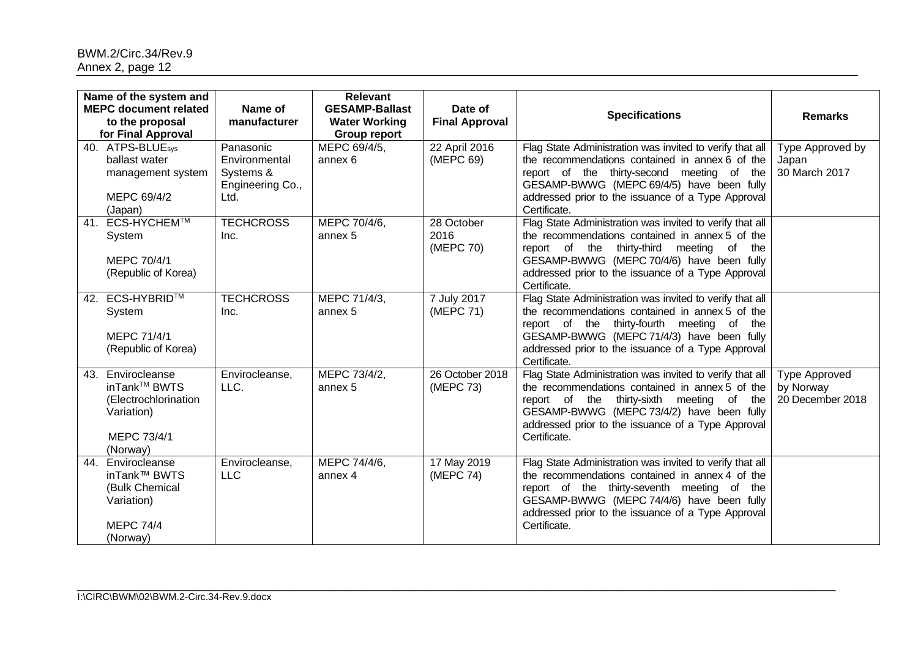| Name of the system and<br><b>MEPC document related</b><br>to the proposal<br>for Final Approval       | Name of<br>manufacturer                                             | <b>Relevant</b><br><b>GESAMP-Ballast</b><br><b>Water Working</b><br><b>Group report</b> | Date of<br><b>Final Approval</b> | <b>Specifications</b>                                                                                                                                                                                                                                                                | <b>Remarks</b>                                        |
|-------------------------------------------------------------------------------------------------------|---------------------------------------------------------------------|-----------------------------------------------------------------------------------------|----------------------------------|--------------------------------------------------------------------------------------------------------------------------------------------------------------------------------------------------------------------------------------------------------------------------------------|-------------------------------------------------------|
| 40. ATPS-BLUE <sub>sys</sub><br>ballast water<br>management system<br>MEPC 69/4/2<br>(Japan)          | Panasonic<br>Environmental<br>Systems &<br>Engineering Co.,<br>Ltd. | MEPC 69/4/5,<br>annex 6                                                                 | 22 April 2016<br>(MEPC 69)       | Flag State Administration was invited to verify that all<br>the recommendations contained in annex 6 of the<br>report of the thirty-second meeting of the<br>GESAMP-BWWG (MEPC 69/4/5) have been fully<br>addressed prior to the issuance of a Type Approval<br>Certificate.         | Type Approved by<br>Japan<br>30 March 2017            |
| <b>ECS-HYCHEM™</b><br>41.<br>System<br>MEPC 70/4/1<br>(Republic of Korea)                             | <b>TECHCROSS</b><br>Inc.                                            | MEPC 70/4/6,<br>annex 5                                                                 | 28 October<br>2016<br>(MEPC 70)  | Flag State Administration was invited to verify that all<br>the recommendations contained in annex 5 of the<br>report of the thirty-third<br>meeting<br>of<br>the<br>GESAMP-BWWG (MEPC 70/4/6) have been fully<br>addressed prior to the issuance of a Type Approval<br>Certificate. |                                                       |
| 42. ECS-HYBRID™<br>System<br>MEPC 71/4/1<br>(Republic of Korea)                                       | <b>TECHCROSS</b><br>Inc.                                            | MEPC 71/4/3,<br>annex 5                                                                 | 7 July 2017<br>(MEPC 71)         | Flag State Administration was invited to verify that all<br>the recommendations contained in annex 5 of the<br>report of the thirty-fourth meeting of the<br>GESAMP-BWWG (MEPC 71/4/3) have been fully<br>addressed prior to the issuance of a Type Approval<br>Certificate.         |                                                       |
| Envirocleanse<br>43.<br>inTank™ BWTS<br>(Electrochlorination<br>Variation)<br>MEPC 73/4/1<br>(Norway) | Envirocleanse,<br>LLC.                                              | MEPC 73/4/2,<br>annex 5                                                                 | 26 October 2018<br>(MEPC 73)     | Flag State Administration was invited to verify that all<br>the recommendations contained in annex 5 of the<br>report of the thirty-sixth meeting of the<br>GESAMP-BWWG (MEPC 73/4/2) have been fully<br>addressed prior to the issuance of a Type Approval<br>Certificate.          | <b>Type Approved</b><br>by Norway<br>20 December 2018 |
| 44.<br>Envirocleanse<br>inTank™ BWTS<br>(Bulk Chemical<br>Variation)<br><b>MEPC 74/4</b><br>(Norway)  | Envirocleanse,<br><b>LLC</b>                                        | MEPC 74/4/6,<br>annex 4                                                                 | 17 May 2019<br>(MEPC 74)         | Flag State Administration was invited to verify that all<br>the recommendations contained in annex 4 of the<br>report of the thirty-seventh meeting of the<br>GESAMP-BWWG (MEPC 74/4/6) have been fully<br>addressed prior to the issuance of a Type Approval<br>Certificate.        |                                                       |